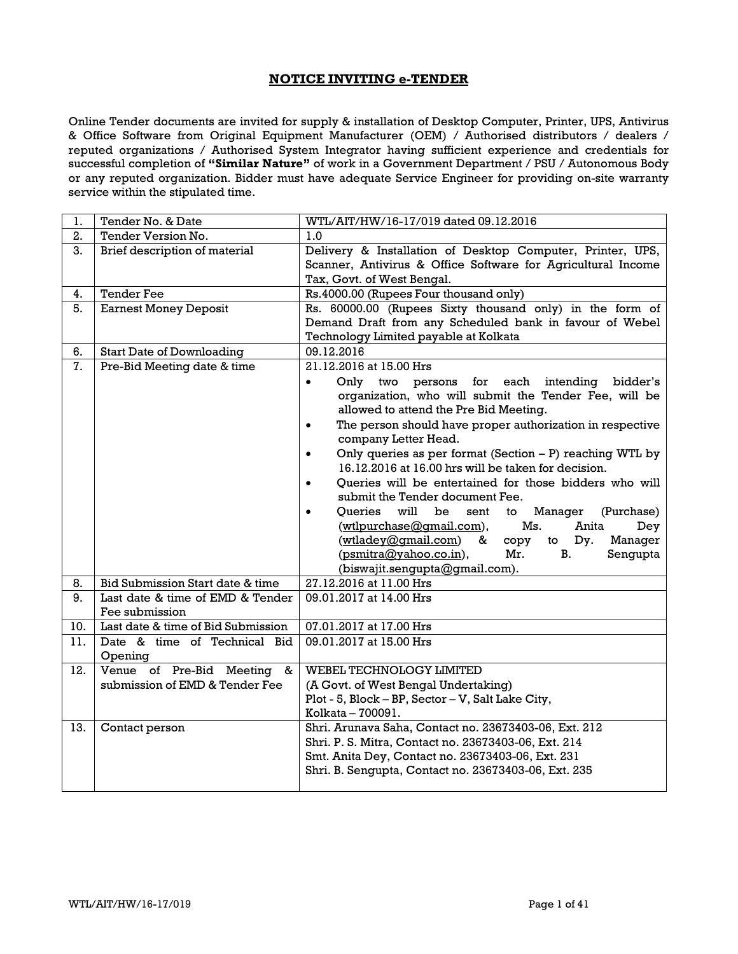## **NOTICE INVITING e-TENDER**

Online Tender documents are invited for supply & installation of Desktop Computer, Printer, UPS, Antivirus & Office Software from Original Equipment Manufacturer (OEM) / Authorised distributors / dealers / reputed organizations / Authorised System Integrator having sufficient experience and credentials for successful completion of **"Similar Nature"** of work in a Government Department / PSU / Autonomous Body or any reputed organization. Bidder must have adequate Service Engineer for providing on-site warranty service within the stipulated time.

| 1.  | Tender No. & Date                                               | WTL/AIT/HW/16-17/019 dated 09.12.2016                                                                                                                                                                                                                                                                                                                                                                                              |
|-----|-----------------------------------------------------------------|------------------------------------------------------------------------------------------------------------------------------------------------------------------------------------------------------------------------------------------------------------------------------------------------------------------------------------------------------------------------------------------------------------------------------------|
| 2.  | Tender Version No.                                              | 1.0                                                                                                                                                                                                                                                                                                                                                                                                                                |
| 3.  | Brief description of material                                   | Delivery & Installation of Desktop Computer, Printer, UPS,<br>Scanner, Antivirus & Office Software for Agricultural Income<br>Tax, Govt. of West Bengal.                                                                                                                                                                                                                                                                           |
| 4.  | <b>Tender Fee</b>                                               | Rs.4000.00 (Rupees Four thousand only)                                                                                                                                                                                                                                                                                                                                                                                             |
| 5.  | <b>Earnest Money Deposit</b>                                    | Rs. 60000.00 (Rupees Sixty thousand only) in the form of<br>Demand Draft from any Scheduled bank in favour of Webel<br>Technology Limited payable at Kolkata                                                                                                                                                                                                                                                                       |
| 6.  | <b>Start Date of Downloading</b>                                | 09.12.2016                                                                                                                                                                                                                                                                                                                                                                                                                         |
| 7.  | Pre-Bid Meeting date & time                                     | 21.12.2016 at 15.00 Hrs<br>Only two persons for<br>each intending<br>bidder's<br>$\bullet$<br>organization, who will submit the Tender Fee, will be<br>allowed to attend the Pre Bid Meeting.<br>The person should have proper authorization in respective<br>$\bullet$<br>company Letter Head.<br>Only queries as per format (Section $- P$ ) reaching WTL by<br>$\bullet$<br>16.12.2016 at 16.00 hrs will be taken for decision. |
|     |                                                                 | Oueries will be entertained for those bidders who will<br>$\bullet$<br>submit the Tender document Fee.<br>Oueries will<br>be<br>Manager<br>to<br>(Purchase)<br>sent<br>$\bullet$<br>(wtlpurchase@gmail.com),<br>Ms.<br>Anita<br>Dey<br>(wtladey@gmail.com)<br>Dy.<br>&<br>Manager<br>copy<br>to<br>(psmitra@yahoo.co.in),<br>Mr.<br>В.<br>Sengupta<br>(biswajit.sengupta@gmail.com).                                               |
| 8.  | Bid Submission Start date & time                                | 27.12.2016 at 11.00 Hrs                                                                                                                                                                                                                                                                                                                                                                                                            |
| 9.  | Last date & time of EMD & Tender<br>Fee submission              | 09.01.2017 at 14.00 Hrs                                                                                                                                                                                                                                                                                                                                                                                                            |
| 10. | Last date & time of Bid Submission                              | 07.01.2017 at 17.00 Hrs                                                                                                                                                                                                                                                                                                                                                                                                            |
| 11. | Date & time of Technical Bid<br>Opening                         | 09.01.2017 at 15.00 Hrs                                                                                                                                                                                                                                                                                                                                                                                                            |
| 12. | Venue of Pre-Bid Meeting<br>&<br>submission of EMD & Tender Fee | WEBEL TECHNOLOGY LIMITED<br>(A Govt. of West Bengal Undertaking)<br>Plot - 5, Block - BP, Sector - V, Salt Lake City,<br>Kolkata - 700091.                                                                                                                                                                                                                                                                                         |
| 13. | Contact person                                                  | Shri. Arunava Saha, Contact no. 23673403-06, Ext. 212<br>Shri. P. S. Mitra, Contact no. 23673403-06, Ext. 214<br>Smt. Anita Dey, Contact no. 23673403-06, Ext. 231<br>Shri. B. Sengupta, Contact no. 23673403-06, Ext. 235                                                                                                                                                                                                         |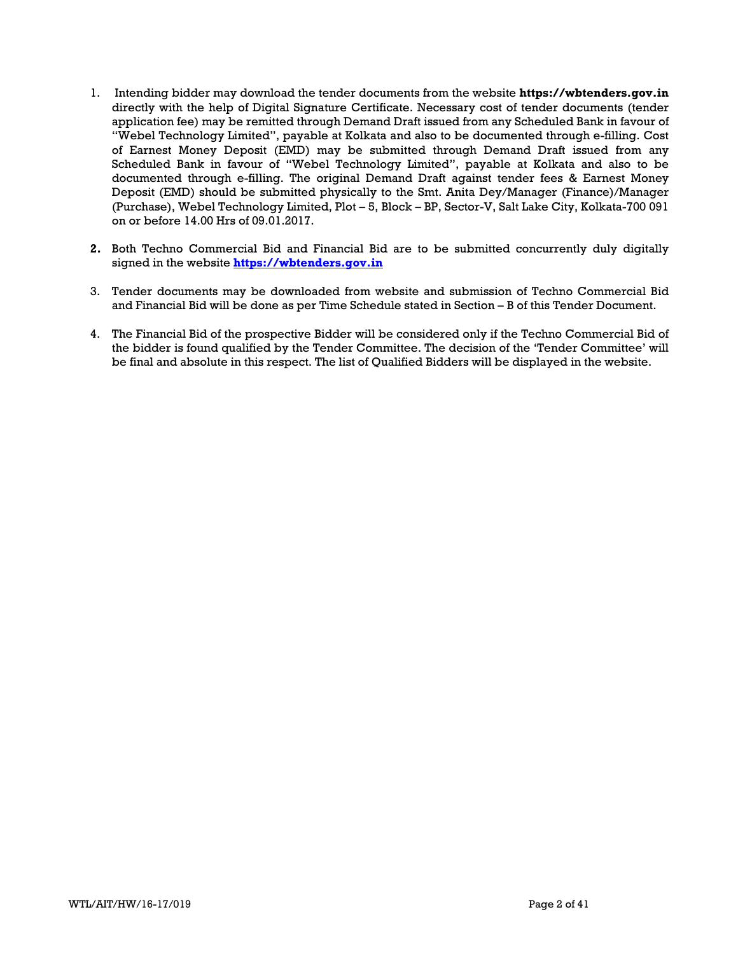- 1. Intending bidder may download the tender documents from the website **https://wbtenders.gov.in** directly with the help of Digital Signature Certificate. Necessary cost of tender documents (tender application fee) may be remitted through Demand Draft issued from any Scheduled Bank in favour of "Webel Technology Limited", payable at Kolkata and also to be documented through e-filling. Cost of Earnest Money Deposit (EMD) may be submitted through Demand Draft issued from any Scheduled Bank in favour of "Webel Technology Limited", payable at Kolkata and also to be documented through e-filling. The original Demand Draft against tender fees & Earnest Money Deposit (EMD) should be submitted physically to the Smt. Anita Dey/Manager (Finance)/Manager (Purchase), Webel Technology Limited, Plot – 5, Block – BP, Sector-V, Salt Lake City, Kolkata-700 091 on or before 14.00 Hrs of 09.01.2017.
- **2.** Both Techno Commercial Bid and Financial Bid are to be submitted concurrently duly digitally signed in the website **https://wbtenders.gov.in**
- 3. Tender documents may be downloaded from website and submission of Techno Commercial Bid and Financial Bid will be done as per Time Schedule stated in Section – B of this Tender Document.
- 4. The Financial Bid of the prospective Bidder will be considered only if the Techno Commercial Bid of the bidder is found qualified by the Tender Committee. The decision of the 'Tender Committee' will be final and absolute in this respect. The list of Qualified Bidders will be displayed in the website.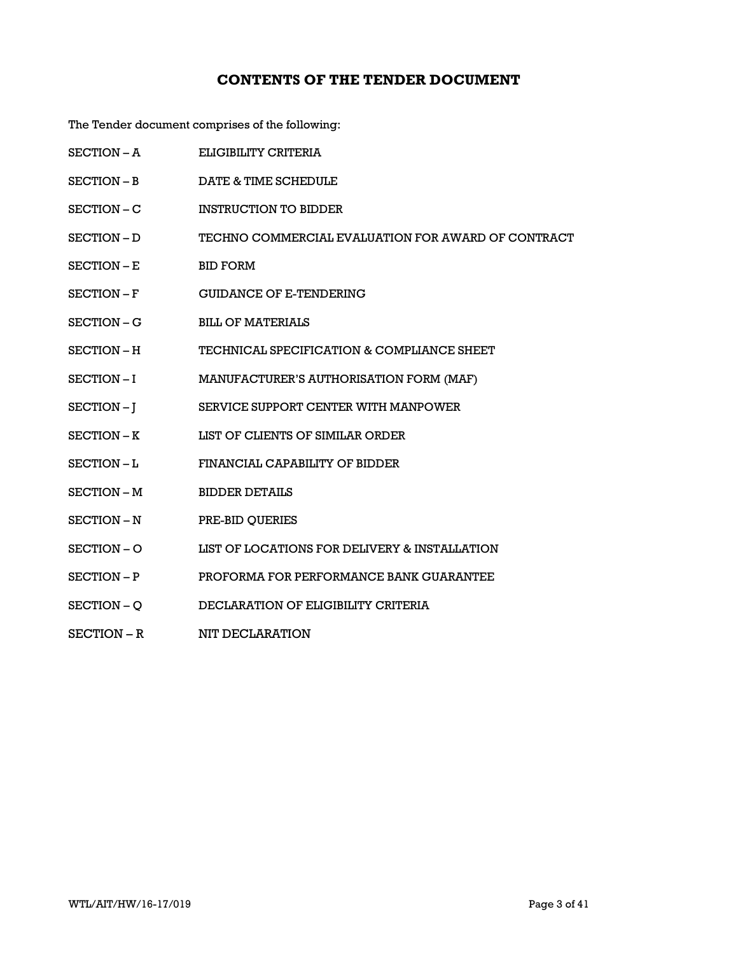# **CONTENTS OF THE TENDER DOCUMENT**

The Tender document comprises of the following:

| <b>SECTION - A</b> | ELIGIBILITY CRITERIA                               |
|--------------------|----------------------------------------------------|
| SECTION – B        | DATE & TIME SCHEDULE                               |
| SECTION – C        | <b>INSTRUCTION TO BIDDER</b>                       |
| SECTION - D        | TECHNO COMMERCIAL EVALUATION FOR AWARD OF CONTRACT |
| SECTION - E        | <b>BID FORM</b>                                    |
| SECTION-F          | <b>GUIDANCE OF E-TENDERING</b>                     |
| SECTION – G        | <b>BILL OF MATERIALS</b>                           |
| <b>SECTION – H</b> | TECHNICAL SPECIFICATION & COMPLIANCE SHEET         |
| SECTION-I          | MANUFACTURER'S AUTHORISATION FORM (MAF)            |
| SECTION-J          | SERVICE SUPPORT CENTER WITH MANPOWER               |
| SECTION - K        | LIST OF CLIENTS OF SIMILAR ORDER                   |
| SECTION-L          | FINANCIAL CAPABILITY OF BIDDER                     |
| SECTION - M        | <b>BIDDER DETAILS</b>                              |
| SECTION - N        | PRE-BID QUERIES                                    |
| SECTION - O        | LIST OF LOCATIONS FOR DELIVERY & INSTALLATION      |
| SECTION - P        | PROFORMA FOR PERFORMANCE BANK GUARANTEE            |
| SECTION – Q        | DECLARATION OF ELIGIBILITY CRITERIA                |
| SECTION – R        | NIT DECLARATION                                    |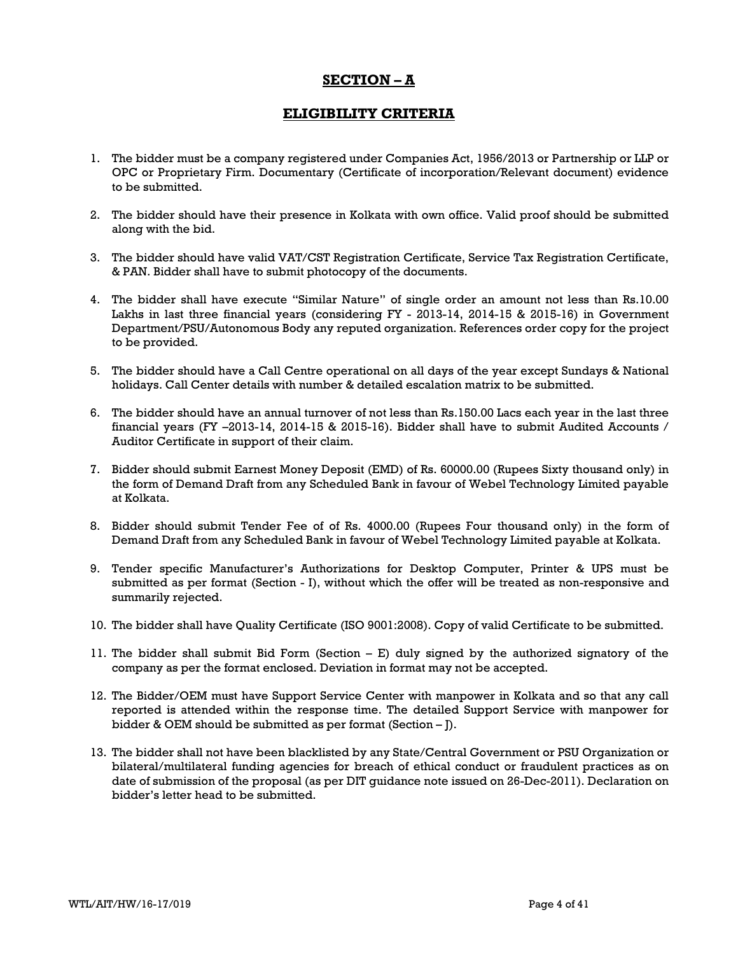## **SECTION – A**

## **ELIGIBILITY CRITERIA**

- 1. The bidder must be a company registered under Companies Act, 1956/2013 or Partnership or LLP or OPC or Proprietary Firm. Documentary (Certificate of incorporation/Relevant document) evidence to be submitted.
- 2. The bidder should have their presence in Kolkata with own office. Valid proof should be submitted along with the bid.
- 3. The bidder should have valid VAT/CST Registration Certificate, Service Tax Registration Certificate, & PAN. Bidder shall have to submit photocopy of the documents.
- 4. The bidder shall have execute "Similar Nature" of single order an amount not less than Rs.10.00 Lakhs in last three financial years (considering FY - 2013-14, 2014-15 & 2015-16) in Government Department/PSU/Autonomous Body any reputed organization. References order copy for the project to be provided.
- 5. The bidder should have a Call Centre operational on all days of the year except Sundays & National holidays. Call Center details with number & detailed escalation matrix to be submitted.
- 6. The bidder should have an annual turnover of not less than Rs.150.00 Lacs each year in the last three financial years (FY –2013-14, 2014-15 & 2015-16). Bidder shall have to submit Audited Accounts / Auditor Certificate in support of their claim.
- 7. Bidder should submit Earnest Money Deposit (EMD) of Rs. 60000.00 (Rupees Sixty thousand only) in the form of Demand Draft from any Scheduled Bank in favour of Webel Technology Limited payable at Kolkata.
- 8. Bidder should submit Tender Fee of of Rs. 4000.00 (Rupees Four thousand only) in the form of Demand Draft from any Scheduled Bank in favour of Webel Technology Limited payable at Kolkata.
- 9. Tender specific Manufacturer's Authorizations for Desktop Computer, Printer & UPS must be submitted as per format (Section - I), without which the offer will be treated as non-responsive and summarily rejected.
- 10. The bidder shall have Quality Certificate (ISO 9001:2008). Copy of valid Certificate to be submitted.
- 11. The bidder shall submit Bid Form (Section E) duly signed by the authorized signatory of the company as per the format enclosed. Deviation in format may not be accepted.
- 12. The Bidder/OEM must have Support Service Center with manpower in Kolkata and so that any call reported is attended within the response time. The detailed Support Service with manpower for bidder & OEM should be submitted as per format (Section – J).
- 13. The bidder shall not have been blacklisted by any State/Central Government or PSU Organization or bilateral/multilateral funding agencies for breach of ethical conduct or fraudulent practices as on date of submission of the proposal (as per DIT guidance note issued on 26-Dec-2011). Declaration on bidder's letter head to be submitted.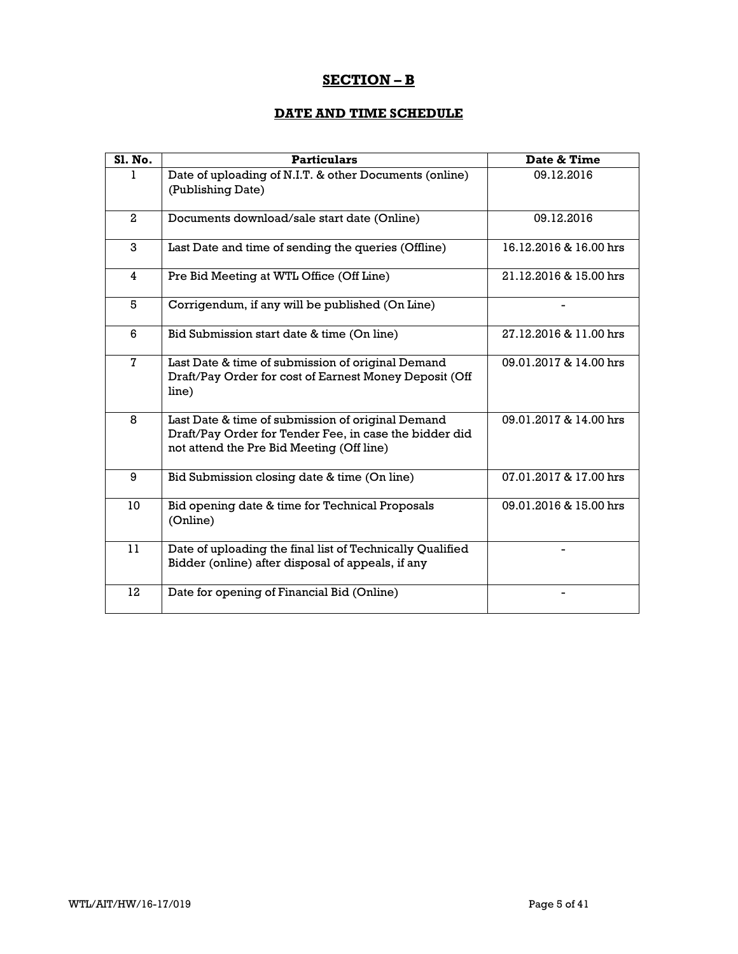# **SECTION – B**

## **DATE AND TIME SCHEDULE**

| <b>Sl. No.</b> | <b>Particulars</b>                                                                                                                                       | Date & Time            |
|----------------|----------------------------------------------------------------------------------------------------------------------------------------------------------|------------------------|
| 1.             | Date of uploading of N.I.T. & other Documents (online)<br>(Publishing Date)                                                                              | 09.12.2016             |
| $\mathbf{2}$   | Documents download/sale start date (Online)                                                                                                              | 09.12.2016             |
| 3              | Last Date and time of sending the queries (Offline)                                                                                                      | 16.12.2016 & 16.00 hrs |
| 4              | Pre Bid Meeting at WTL Office (Off Line)                                                                                                                 | 21.12.2016 & 15.00 hrs |
| 5              | Corrigendum, if any will be published (On Line)                                                                                                          |                        |
| 6              | Bid Submission start date & time (On line)                                                                                                               | 27.12.2016 & 11.00 hrs |
| 7              | Last Date & time of submission of original Demand<br>Draft/Pay Order for cost of Earnest Money Deposit (Off<br>line)                                     | 09.01.2017 & 14.00 hrs |
| 8              | Last Date & time of submission of original Demand<br>Draft/Pay Order for Tender Fee, in case the bidder did<br>not attend the Pre Bid Meeting (Off line) | 09.01.2017 & 14.00 hrs |
| 9              | Bid Submission closing date & time (On line)                                                                                                             | 07.01.2017 & 17.00 hrs |
| 10             | Bid opening date & time for Technical Proposals<br>(Online)                                                                                              | 09.01.2016 & 15.00 hrs |
| 11             | Date of uploading the final list of Technically Qualified<br>Bidder (online) after disposal of appeals, if any                                           |                        |
| 12             | Date for opening of Financial Bid (Online)                                                                                                               |                        |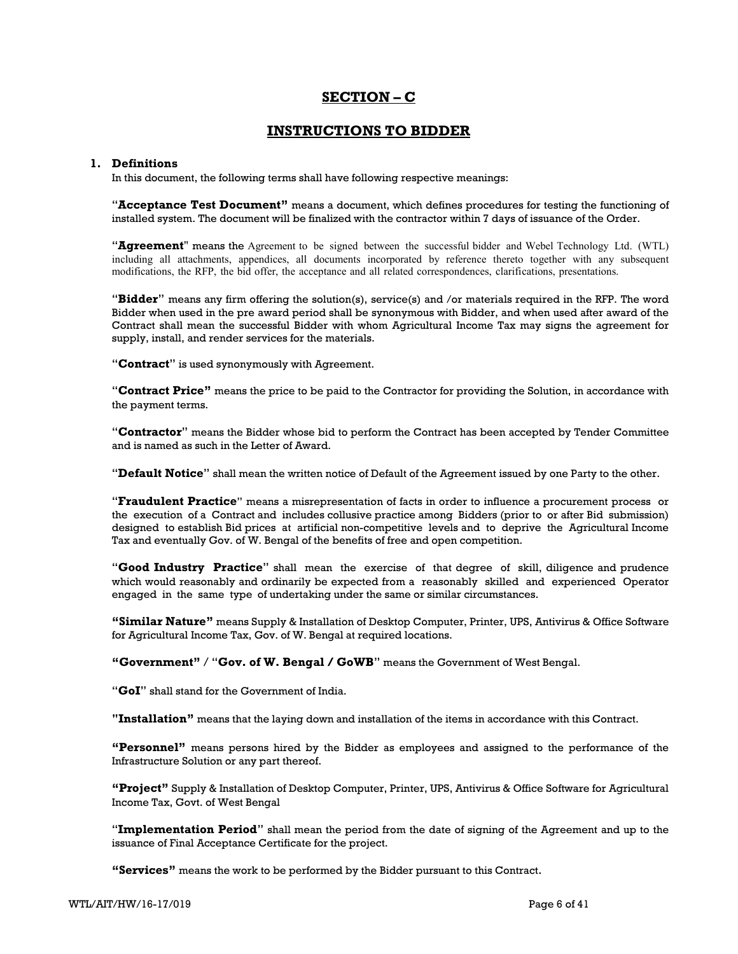## **SECTION – C**

## **INSTRUCTIONS TO BIDDER**

### **1. Definitions**

In this document, the following terms shall have following respective meanings:

"**Acceptance Test Document"** means a document, which defines procedures for testing the functioning of installed system. The document will be finalized with the contractor within 7 days of issuance of the Order.

"**Agreement**" means the Agreement to be signed between the successful bidder and Webel Technology Ltd. (WTL) including all attachments, appendices, all documents incorporated by reference thereto together with any subsequent modifications, the RFP, the bid offer, the acceptance and all related correspondences, clarifications, presentations.

"**Bidder**" means any firm offering the solution(s), service(s) and /or materials required in the RFP. The word Bidder when used in the pre award period shall be synonymous with Bidder, and when used after award of the Contract shall mean the successful Bidder with whom Agricultural Income Tax may signs the agreement for supply, install, and render services for the materials.

"**Contract**" is used synonymously with Agreement.

"**Contract Price"** means the price to be paid to the Contractor for providing the Solution, in accordance with the payment terms.

"**Contractor**" means the Bidder whose bid to perform the Contract has been accepted by Tender Committee and is named as such in the Letter of Award.

"**Default Notice**" shall mean the written notice of Default of the Agreement issued by one Party to the other.

"**Fraudulent Practice**" means a misrepresentation of facts in order to influence a procurement process or the execution of a Contract and includes collusive practice among Bidders (prior to or after Bid submission) designed to establish Bid prices at artificial non-competitive levels and to deprive the Agricultural Income Tax and eventually Gov. of W. Bengal of the benefits of free and open competition.

"**Good Industry Practice**" shall mean the exercise of that degree of skill, diligence and prudence which would reasonably and ordinarily be expected from a reasonably skilled and experienced Operator engaged in the same type of undertaking under the same or similar circumstances.

**"Similar Nature"** means Supply & Installation of Desktop Computer, Printer, UPS, Antivirus & Office Software for Agricultural Income Tax, Gov. of W. Bengal at required locations.

 **"Government"** / "**Gov. of W. Bengal / GoWB**" means the Government of West Bengal.

"**GoI**" shall stand for the Government of India.

**"Installation"** means that the laying down and installation of the items in accordance with this Contract.

**"Personnel"** means persons hired by the Bidder as employees and assigned to the performance of the Infrastructure Solution or any part thereof.

**"Project"** Supply & Installation of Desktop Computer, Printer, UPS, Antivirus & Office Software for Agricultural Income Tax, Govt. of West Bengal

"**Implementation Period**" shall mean the period from the date of signing of the Agreement and up to the issuance of Final Acceptance Certificate for the project.

**"Services"** means the work to be performed by the Bidder pursuant to this Contract.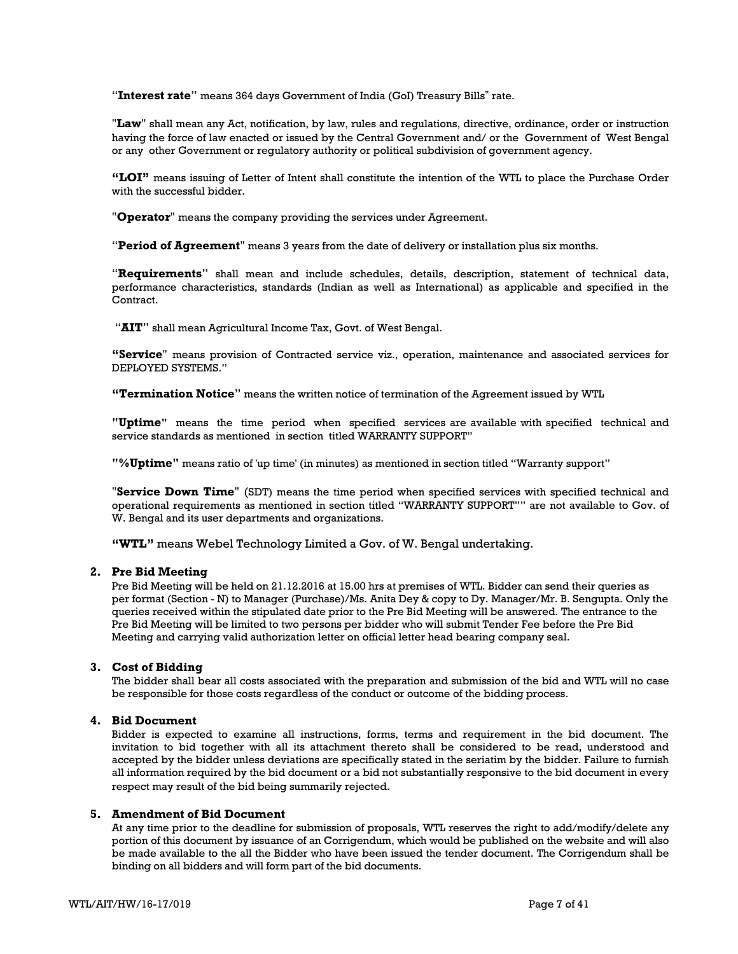"**Interest rate**" means 364 days Government of India (GoI) Treasury Bills" rate.

"**Law**" shall mean any Act, notification, by law, rules and regulations, directive, ordinance, order or instruction having the force of law enacted or issued by the Central Government and/ or the Government of West Bengal or any other Government or regulatory authority or political subdivision of government agency.

**"LOI"** means issuing of Letter of Intent shall constitute the intention of the WTL to place the Purchase Order with the successful bidder.

"**Operator**" means the company providing the services under Agreement.

"**Period of Agreement**" means 3 years from the date of delivery or installation plus six months.

"**Requirements**" shall mean and include schedules, details, description, statement of technical data, performance characteristics, standards (Indian as well as International) as applicable and specified in the Contract.

"**AIT**" shall mean Agricultural Income Tax, Govt. of West Bengal.

**"Service**" means provision of Contracted service viz., operation, maintenance and associated services for DEPLOYED SYSTEMS."

**"Termination Notice**" means the written notice of termination of the Agreement issued by WTL

**"Uptime"** means the time period when specified services are available with specified technical and service standards as mentioned in section titled WARRANTY SUPPORT"

**"%Uptime"** means ratio of 'up time' (in minutes) as mentioned in section titled "Warranty support"

"**Service Down Time**" (SDT) means the time period when specified services with specified technical and operational requirements as mentioned in section titled "WARRANTY SUPPORT"" are not available to Gov. of W. Bengal and its user departments and organizations.

**"WTL"** means Webel Technology Limited a Gov. of W. Bengal undertaking.

#### **2. Pre Bid Meeting**

Pre Bid Meeting will be held on 21.12.2016 at 15.00 hrs at premises of WTL. Bidder can send their queries as per format (Section - N) to Manager (Purchase)/Ms. Anita Dey & copy to Dy. Manager/Mr. B. Sengupta. Only the queries received within the stipulated date prior to the Pre Bid Meeting will be answered. The entrance to the Pre Bid Meeting will be limited to two persons per bidder who will submit Tender Fee before the Pre Bid Meeting and carrying valid authorization letter on official letter head bearing company seal.

#### **3. Cost of Bidding**

The bidder shall bear all costs associated with the preparation and submission of the bid and WTL will no case be responsible for those costs regardless of the conduct or outcome of the bidding process.

#### **4. Bid Document**

Bidder is expected to examine all instructions, forms, terms and requirement in the bid document. The invitation to bid together with all its attachment thereto shall be considered to be read, understood and accepted by the bidder unless deviations are specifically stated in the seriatim by the bidder. Failure to furnish all information required by the bid document or a bid not substantially responsive to the bid document in every respect may result of the bid being summarily rejected.

#### **5. Amendment of Bid Document**

At any time prior to the deadline for submission of proposals, WTL reserves the right to add/modify/delete any portion of this document by issuance of an Corrigendum, which would be published on the website and will also be made available to the all the Bidder who have been issued the tender document. The Corrigendum shall be binding on all bidders and will form part of the bid documents.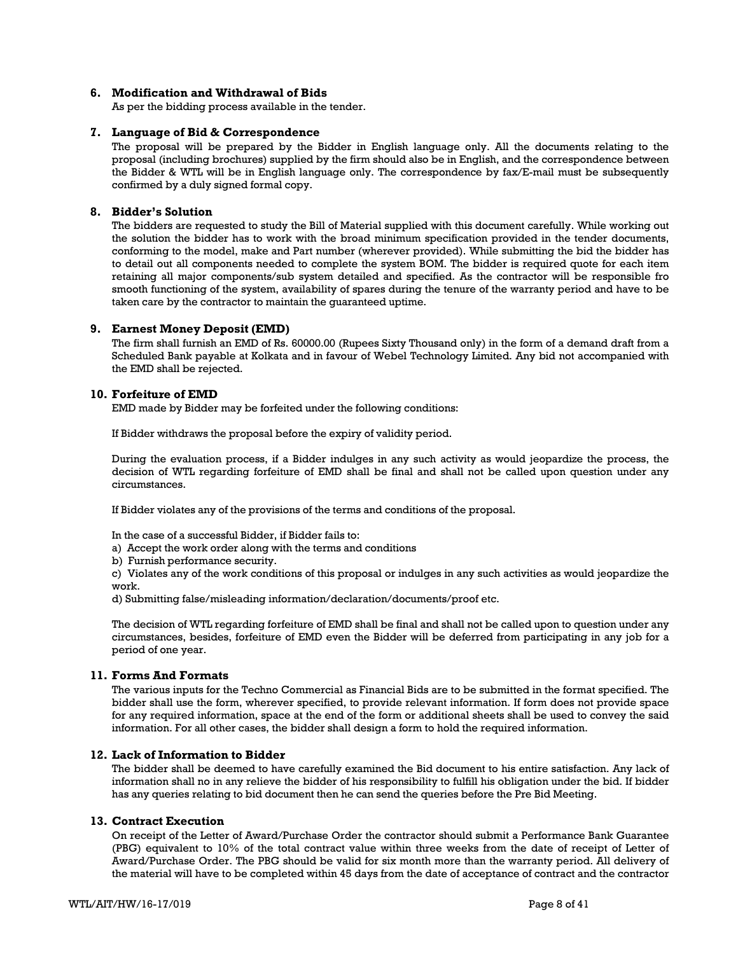### **6. Modification and Withdrawal of Bids**

As per the bidding process available in the tender.

#### **7. Language of Bid & Correspondence**

The proposal will be prepared by the Bidder in English language only. All the documents relating to the proposal (including brochures) supplied by the firm should also be in English, and the correspondence between the Bidder & WTL will be in English language only. The correspondence by fax/E-mail must be subsequently confirmed by a duly signed formal copy.

## **8. Bidder's Solution**

The bidders are requested to study the Bill of Material supplied with this document carefully. While working out the solution the bidder has to work with the broad minimum specification provided in the tender documents, conforming to the model, make and Part number (wherever provided). While submitting the bid the bidder has to detail out all components needed to complete the system BOM. The bidder is required quote for each item retaining all major components/sub system detailed and specified. As the contractor will be responsible fro smooth functioning of the system, availability of spares during the tenure of the warranty period and have to be taken care by the contractor to maintain the guaranteed uptime.

#### **9. Earnest Money Deposit (EMD)**

The firm shall furnish an EMD of Rs. 60000.00 (Rupees Sixty Thousand only) in the form of a demand draft from a Scheduled Bank payable at Kolkata and in favour of Webel Technology Limited. Any bid not accompanied with the EMD shall be rejected.

#### **10. Forfeiture of EMD**

EMD made by Bidder may be forfeited under the following conditions:

If Bidder withdraws the proposal before the expiry of validity period.

During the evaluation process, if a Bidder indulges in any such activity as would jeopardize the process, the decision of WTL regarding forfeiture of EMD shall be final and shall not be called upon question under any circumstances.

If Bidder violates any of the provisions of the terms and conditions of the proposal.

In the case of a successful Bidder, if Bidder fails to:

- a) Accept the work order along with the terms and conditions
- b) Furnish performance security.

c) Violates any of the work conditions of this proposal or indulges in any such activities as would jeopardize the work.

d) Submitting false/misleading information/declaration/documents/proof etc.

The decision of WTL regarding forfeiture of EMD shall be final and shall not be called upon to question under any circumstances, besides, forfeiture of EMD even the Bidder will be deferred from participating in any job for a period of one year.

#### **11. Forms And Formats**

The various inputs for the Techno Commercial as Financial Bids are to be submitted in the format specified. The bidder shall use the form, wherever specified, to provide relevant information. If form does not provide space for any required information, space at the end of the form or additional sheets shall be used to convey the said information. For all other cases, the bidder shall design a form to hold the required information.

#### **12. Lack of Information to Bidder**

The bidder shall be deemed to have carefully examined the Bid document to his entire satisfaction. Any lack of information shall no in any relieve the bidder of his responsibility to fulfill his obligation under the bid. If bidder has any queries relating to bid document then he can send the queries before the Pre Bid Meeting.

### **13. Contract Execution**

On receipt of the Letter of Award/Purchase Order the contractor should submit a Performance Bank Guarantee (PBG) equivalent to 10% of the total contract value within three weeks from the date of receipt of Letter of Award/Purchase Order. The PBG should be valid for six month more than the warranty period. All delivery of the material will have to be completed within 45 days from the date of acceptance of contract and the contractor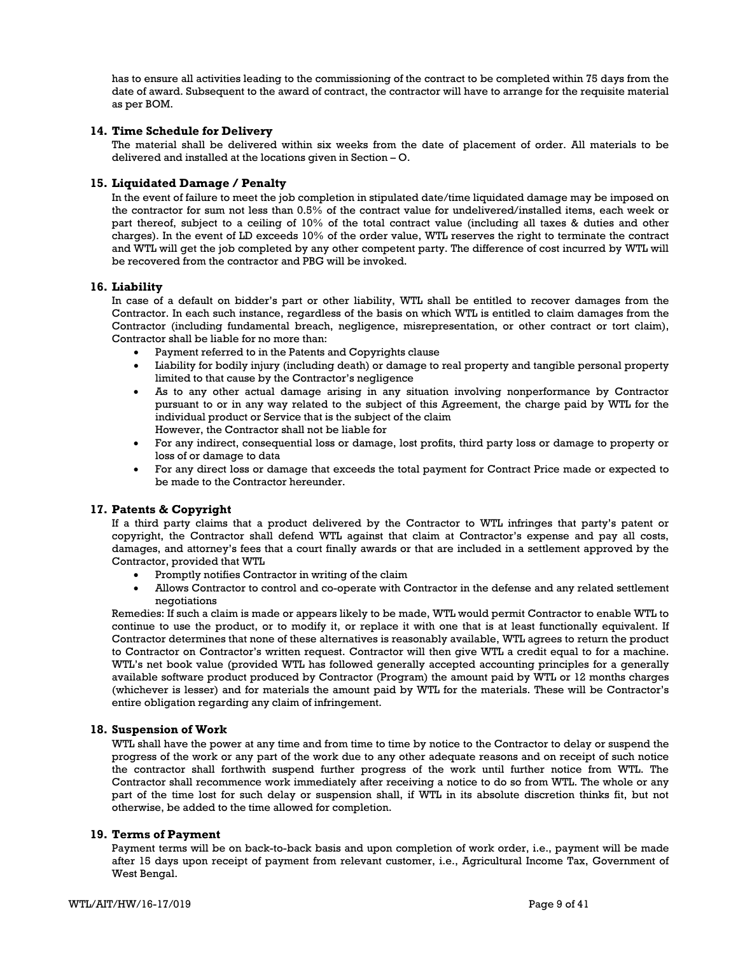has to ensure all activities leading to the commissioning of the contract to be completed within 75 days from the date of award. Subsequent to the award of contract, the contractor will have to arrange for the requisite material as per BOM.

### **14. Time Schedule for Delivery**

The material shall be delivered within six weeks from the date of placement of order. All materials to be delivered and installed at the locations given in Section – O.

#### **15. Liquidated Damage / Penalty**

In the event of failure to meet the job completion in stipulated date/time liquidated damage may be imposed on the contractor for sum not less than 0.5% of the contract value for undelivered/installed items, each week or part thereof, subject to a ceiling of 10% of the total contract value (including all taxes & duties and other charges). In the event of LD exceeds 10% of the order value, WTL reserves the right to terminate the contract and WTL will get the job completed by any other competent party. The difference of cost incurred by WTL will be recovered from the contractor and PBG will be invoked.

#### **16. Liability**

In case of a default on bidder's part or other liability, WTL shall be entitled to recover damages from the Contractor. In each such instance, regardless of the basis on which WTL is entitled to claim damages from the Contractor (including fundamental breach, negligence, misrepresentation, or other contract or tort claim), Contractor shall be liable for no more than:

- Payment referred to in the Patents and Copyrights clause
- Liability for bodily injury (including death) or damage to real property and tangible personal property limited to that cause by the Contractor's negligence
- As to any other actual damage arising in any situation involving nonperformance by Contractor pursuant to or in any way related to the subject of this Agreement, the charge paid by WTL for the individual product or Service that is the subject of the claim However, the Contractor shall not be liable for
- For any indirect, consequential loss or damage, lost profits, third party loss or damage to property or loss of or damage to data
- For any direct loss or damage that exceeds the total payment for Contract Price made or expected to be made to the Contractor hereunder.

#### **17. Patents & Copyright**

If a third party claims that a product delivered by the Contractor to WTL infringes that party's patent or copyright, the Contractor shall defend WTL against that claim at Contractor's expense and pay all costs, damages, and attorney's fees that a court finally awards or that are included in a settlement approved by the Contractor, provided that WTL

- Promptly notifies Contractor in writing of the claim
- Allows Contractor to control and co-operate with Contractor in the defense and any related settlement negotiations

Remedies: If such a claim is made or appears likely to be made, WTL would permit Contractor to enable WTL to continue to use the product, or to modify it, or replace it with one that is at least functionally equivalent. If Contractor determines that none of these alternatives is reasonably available, WTL agrees to return the product to Contractor on Contractor's written request. Contractor will then give WTL a credit equal to for a machine. WTL's net book value (provided WTL has followed generally accepted accounting principles for a generally available software product produced by Contractor (Program) the amount paid by WTL or 12 months charges (whichever is lesser) and for materials the amount paid by WTL for the materials. These will be Contractor's entire obligation regarding any claim of infringement.

#### **18. Suspension of Work**

WTL shall have the power at any time and from time to time by notice to the Contractor to delay or suspend the progress of the work or any part of the work due to any other adequate reasons and on receipt of such notice the contractor shall forthwith suspend further progress of the work until further notice from WTL. The Contractor shall recommence work immediately after receiving a notice to do so from WTL. The whole or any part of the time lost for such delay or suspension shall, if WTL in its absolute discretion thinks fit, but not otherwise, be added to the time allowed for completion.

### **19. Terms of Payment**

Payment terms will be on back-to-back basis and upon completion of work order, i.e., payment will be made after 15 days upon receipt of payment from relevant customer, i.e., Agricultural Income Tax, Government of West Bengal.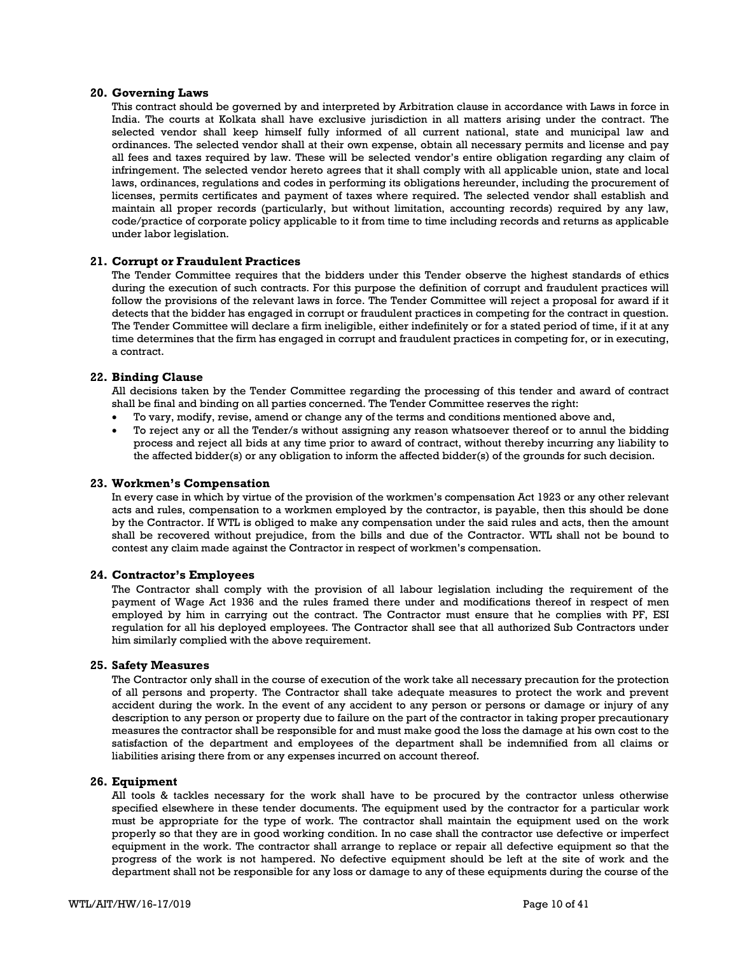#### **20. Governing Laws**

This contract should be governed by and interpreted by Arbitration clause in accordance with Laws in force in India. The courts at Kolkata shall have exclusive jurisdiction in all matters arising under the contract. The selected vendor shall keep himself fully informed of all current national, state and municipal law and ordinances. The selected vendor shall at their own expense, obtain all necessary permits and license and pay all fees and taxes required by law. These will be selected vendor's entire obligation regarding any claim of infringement. The selected vendor hereto agrees that it shall comply with all applicable union, state and local laws, ordinances, regulations and codes in performing its obligations hereunder, including the procurement of licenses, permits certificates and payment of taxes where required. The selected vendor shall establish and maintain all proper records (particularly, but without limitation, accounting records) required by any law, code/practice of corporate policy applicable to it from time to time including records and returns as applicable under labor legislation.

#### **21. Corrupt or Fraudulent Practices**

The Tender Committee requires that the bidders under this Tender observe the highest standards of ethics during the execution of such contracts. For this purpose the definition of corrupt and fraudulent practices will follow the provisions of the relevant laws in force. The Tender Committee will reject a proposal for award if it detects that the bidder has engaged in corrupt or fraudulent practices in competing for the contract in question. The Tender Committee will declare a firm ineligible, either indefinitely or for a stated period of time, if it at any time determines that the firm has engaged in corrupt and fraudulent practices in competing for, or in executing, a contract.

#### **22. Binding Clause**

All decisions taken by the Tender Committee regarding the processing of this tender and award of contract shall be final and binding on all parties concerned. The Tender Committee reserves the right:

- To vary, modify, revise, amend or change any of the terms and conditions mentioned above and,
- To reject any or all the Tender/s without assigning any reason whatsoever thereof or to annul the bidding process and reject all bids at any time prior to award of contract, without thereby incurring any liability to the affected bidder(s) or any obligation to inform the affected bidder(s) of the grounds for such decision.

#### **23. Workmen's Compensation**

In every case in which by virtue of the provision of the workmen's compensation Act 1923 or any other relevant acts and rules, compensation to a workmen employed by the contractor, is payable, then this should be done by the Contractor. If WTL is obliged to make any compensation under the said rules and acts, then the amount shall be recovered without prejudice, from the bills and due of the Contractor. WTL shall not be bound to contest any claim made against the Contractor in respect of workmen's compensation.

#### **24. Contractor's Employees**

The Contractor shall comply with the provision of all labour legislation including the requirement of the payment of Wage Act 1936 and the rules framed there under and modifications thereof in respect of men employed by him in carrying out the contract. The Contractor must ensure that he complies with PF, ESI regulation for all his deployed employees. The Contractor shall see that all authorized Sub Contractors under him similarly complied with the above requirement.

#### **25. Safety Measures**

The Contractor only shall in the course of execution of the work take all necessary precaution for the protection of all persons and property. The Contractor shall take adequate measures to protect the work and prevent accident during the work. In the event of any accident to any person or persons or damage or injury of any description to any person or property due to failure on the part of the contractor in taking proper precautionary measures the contractor shall be responsible for and must make good the loss the damage at his own cost to the satisfaction of the department and employees of the department shall be indemnified from all claims or liabilities arising there from or any expenses incurred on account thereof.

#### **26. Equipment**

All tools & tackles necessary for the work shall have to be procured by the contractor unless otherwise specified elsewhere in these tender documents. The equipment used by the contractor for a particular work must be appropriate for the type of work. The contractor shall maintain the equipment used on the work properly so that they are in good working condition. In no case shall the contractor use defective or imperfect equipment in the work. The contractor shall arrange to replace or repair all defective equipment so that the progress of the work is not hampered. No defective equipment should be left at the site of work and the department shall not be responsible for any loss or damage to any of these equipments during the course of the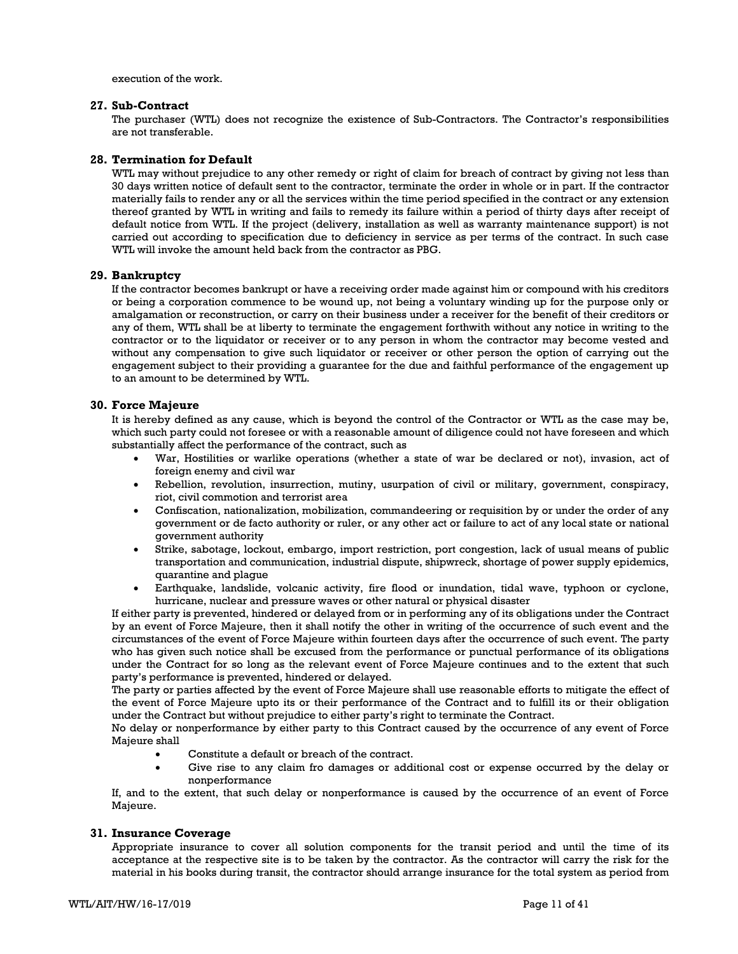execution of the work.

#### **27. Sub-Contract**

The purchaser (WTL) does not recognize the existence of Sub-Contractors. The Contractor's responsibilities are not transferable.

### **28. Termination for Default**

WTL may without prejudice to any other remedy or right of claim for breach of contract by giving not less than 30 days written notice of default sent to the contractor, terminate the order in whole or in part. If the contractor materially fails to render any or all the services within the time period specified in the contract or any extension thereof granted by WTL in writing and fails to remedy its failure within a period of thirty days after receipt of default notice from WTL. If the project (delivery, installation as well as warranty maintenance support) is not carried out according to specification due to deficiency in service as per terms of the contract. In such case WTL will invoke the amount held back from the contractor as PBG.

#### **29. Bankruptcy**

If the contractor becomes bankrupt or have a receiving order made against him or compound with his creditors or being a corporation commence to be wound up, not being a voluntary winding up for the purpose only or amalgamation or reconstruction, or carry on their business under a receiver for the benefit of their creditors or any of them, WTL shall be at liberty to terminate the engagement forthwith without any notice in writing to the contractor or to the liquidator or receiver or to any person in whom the contractor may become vested and without any compensation to give such liquidator or receiver or other person the option of carrying out the engagement subject to their providing a guarantee for the due and faithful performance of the engagement up to an amount to be determined by WTL.

#### **30. Force Majeure**

It is hereby defined as any cause, which is beyond the control of the Contractor or WTL as the case may be, which such party could not foresee or with a reasonable amount of diligence could not have foreseen and which substantially affect the performance of the contract, such as

- War, Hostilities or warlike operations (whether a state of war be declared or not), invasion, act of foreign enemy and civil war
- Rebellion, revolution, insurrection, mutiny, usurpation of civil or military, government, conspiracy, riot, civil commotion and terrorist area
- Confiscation, nationalization, mobilization, commandeering or requisition by or under the order of any government or de facto authority or ruler, or any other act or failure to act of any local state or national government authority
- Strike, sabotage, lockout, embargo, import restriction, port congestion, lack of usual means of public transportation and communication, industrial dispute, shipwreck, shortage of power supply epidemics, quarantine and plague
- Earthquake, landslide, volcanic activity, fire flood or inundation, tidal wave, typhoon or cyclone, hurricane, nuclear and pressure waves or other natural or physical disaster

If either party is prevented, hindered or delayed from or in performing any of its obligations under the Contract by an event of Force Majeure, then it shall notify the other in writing of the occurrence of such event and the circumstances of the event of Force Majeure within fourteen days after the occurrence of such event. The party who has given such notice shall be excused from the performance or punctual performance of its obligations under the Contract for so long as the relevant event of Force Majeure continues and to the extent that such party's performance is prevented, hindered or delayed.

The party or parties affected by the event of Force Majeure shall use reasonable efforts to mitigate the effect of the event of Force Majeure upto its or their performance of the Contract and to fulfill its or their obligation under the Contract but without prejudice to either party's right to terminate the Contract.

No delay or nonperformance by either party to this Contract caused by the occurrence of any event of Force Majeure shall

- Constitute a default or breach of the contract.
- Give rise to any claim fro damages or additional cost or expense occurred by the delay or nonperformance

If, and to the extent, that such delay or nonperformance is caused by the occurrence of an event of Force Majeure.

#### **31. Insurance Coverage**

Appropriate insurance to cover all solution components for the transit period and until the time of its acceptance at the respective site is to be taken by the contractor. As the contractor will carry the risk for the material in his books during transit, the contractor should arrange insurance for the total system as period from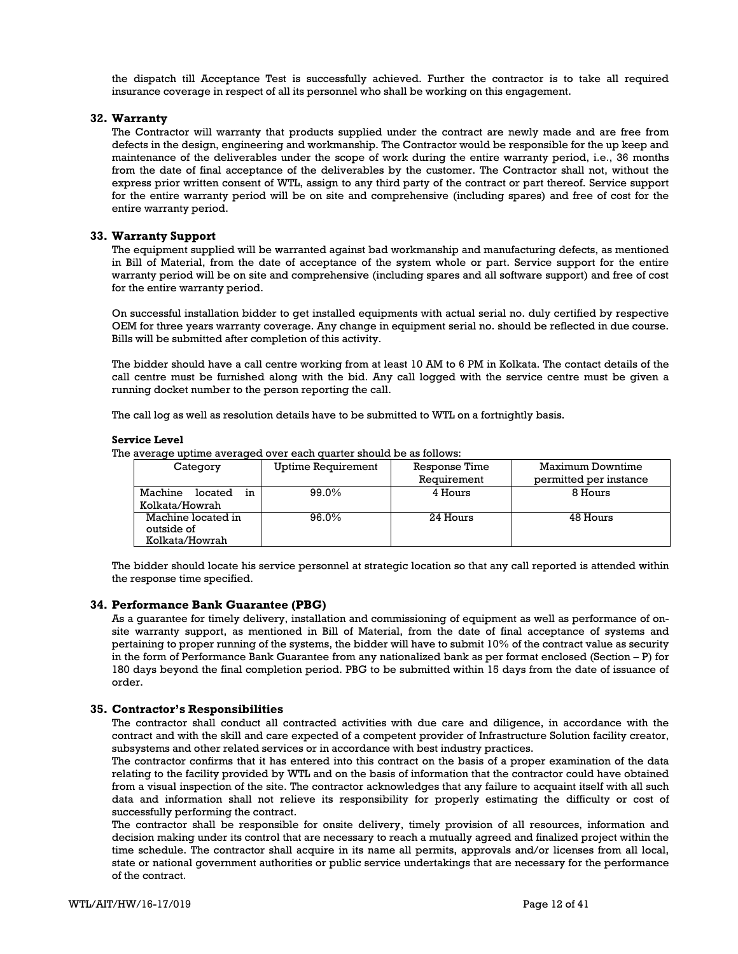the dispatch till Acceptance Test is successfully achieved. Further the contractor is to take all required insurance coverage in respect of all its personnel who shall be working on this engagement.

### **32. Warranty**

The Contractor will warranty that products supplied under the contract are newly made and are free from defects in the design, engineering and workmanship. The Contractor would be responsible for the up keep and maintenance of the deliverables under the scope of work during the entire warranty period, i.e., 36 months from the date of final acceptance of the deliverables by the customer. The Contractor shall not, without the express prior written consent of WTL, assign to any third party of the contract or part thereof. Service support for the entire warranty period will be on site and comprehensive (including spares) and free of cost for the entire warranty period.

#### **33. Warranty Support**

The equipment supplied will be warranted against bad workmanship and manufacturing defects, as mentioned in Bill of Material, from the date of acceptance of the system whole or part. Service support for the entire warranty period will be on site and comprehensive (including spares and all software support) and free of cost for the entire warranty period.

On successful installation bidder to get installed equipments with actual serial no. duly certified by respective OEM for three years warranty coverage. Any change in equipment serial no. should be reflected in due course. Bills will be submitted after completion of this activity.

The bidder should have a call centre working from at least 10 AM to 6 PM in Kolkata. The contact details of the call centre must be furnished along with the bid. Any call logged with the service centre must be given a running docket number to the person reporting the call.

The call log as well as resolution details have to be submitted to WTL on a fortnightly basis.

#### **Service Level**

| The average uptime averaged over each quarter should be as follows: |                    |                   |        |  |
|---------------------------------------------------------------------|--------------------|-------------------|--------|--|
| Category                                                            | Uptime Requirement | Response Time     | М      |  |
|                                                                     |                    | <b>Pomiromont</b> | $\sim$ |  |

| Category                                           | <b>Uptime Requirement</b> | Response Time | Maximum Downtime       |
|----------------------------------------------------|---------------------------|---------------|------------------------|
|                                                    |                           | Requirement   | permitted per instance |
| Machine<br>located<br>in                           | 99.0%                     | 4 Hours       | 8 Hours                |
| Kolkata/Howrah                                     |                           |               |                        |
| Machine located in<br>outside of<br>Kolkata/Howrah | 96.0%                     | 24 Hours      | 48 Hours               |

The bidder should locate his service personnel at strategic location so that any call reported is attended within the response time specified.

#### **34. Performance Bank Guarantee (PBG)**

As a guarantee for timely delivery, installation and commissioning of equipment as well as performance of onsite warranty support, as mentioned in Bill of Material, from the date of final acceptance of systems and pertaining to proper running of the systems, the bidder will have to submit 10% of the contract value as security in the form of Performance Bank Guarantee from any nationalized bank as per format enclosed (Section – P) for 180 days beyond the final completion period. PBG to be submitted within 15 days from the date of issuance of order.

#### **35. Contractor's Responsibilities**

The contractor shall conduct all contracted activities with due care and diligence, in accordance with the contract and with the skill and care expected of a competent provider of Infrastructure Solution facility creator, subsystems and other related services or in accordance with best industry practices.

The contractor confirms that it has entered into this contract on the basis of a proper examination of the data relating to the facility provided by WTL and on the basis of information that the contractor could have obtained from a visual inspection of the site. The contractor acknowledges that any failure to acquaint itself with all such data and information shall not relieve its responsibility for properly estimating the difficulty or cost of successfully performing the contract.

The contractor shall be responsible for onsite delivery, timely provision of all resources, information and decision making under its control that are necessary to reach a mutually agreed and finalized project within the time schedule. The contractor shall acquire in its name all permits, approvals and/or licenses from all local, state or national government authorities or public service undertakings that are necessary for the performance of the contract.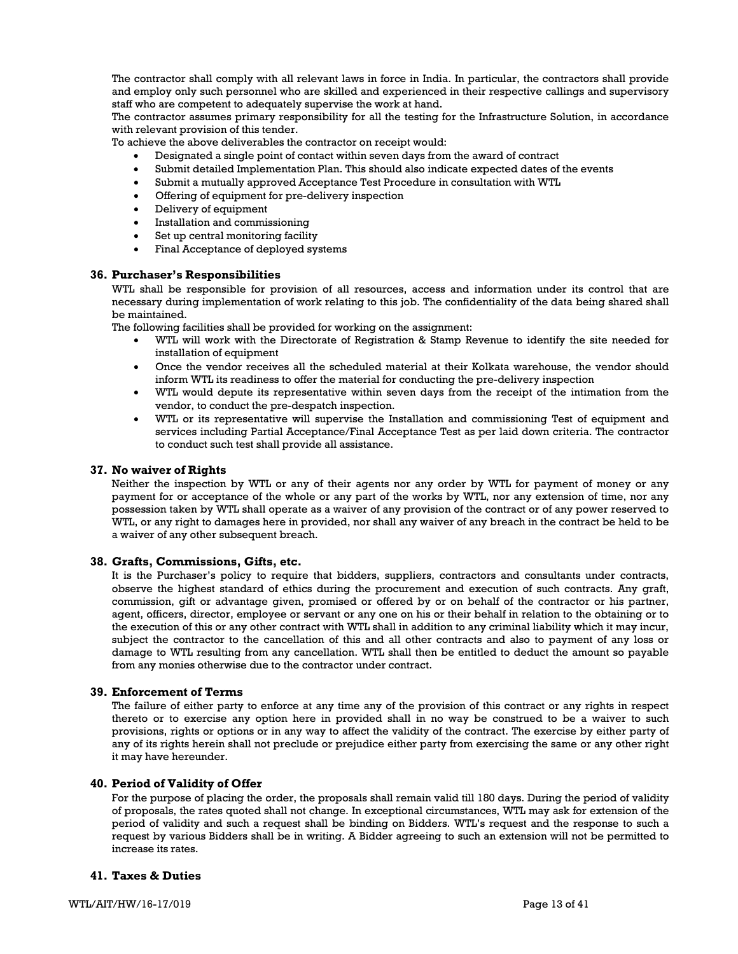The contractor shall comply with all relevant laws in force in India. In particular, the contractors shall provide and employ only such personnel who are skilled and experienced in their respective callings and supervisory staff who are competent to adequately supervise the work at hand.

The contractor assumes primary responsibility for all the testing for the Infrastructure Solution, in accordance with relevant provision of this tender.

To achieve the above deliverables the contractor on receipt would:

- Designated a single point of contact within seven days from the award of contract
- Submit detailed Implementation Plan. This should also indicate expected dates of the events
- Submit a mutually approved Acceptance Test Procedure in consultation with WTL
- Offering of equipment for pre-delivery inspection
- Delivery of equipment
- Installation and commissioning
- Set up central monitoring facility
- Final Acceptance of deployed systems

#### **36. Purchaser's Responsibilities**

WTL shall be responsible for provision of all resources, access and information under its control that are necessary during implementation of work relating to this job. The confidentiality of the data being shared shall be maintained.

The following facilities shall be provided for working on the assignment:

- WTL will work with the Directorate of Registration & Stamp Revenue to identify the site needed for installation of equipment
- Once the vendor receives all the scheduled material at their Kolkata warehouse, the vendor should inform WTL its readiness to offer the material for conducting the pre-delivery inspection
- WTL would depute its representative within seven days from the receipt of the intimation from the vendor, to conduct the pre-despatch inspection.
- WTL or its representative will supervise the Installation and commissioning Test of equipment and services including Partial Acceptance/Final Acceptance Test as per laid down criteria. The contractor to conduct such test shall provide all assistance.

#### **37. No waiver of Rights**

Neither the inspection by WTL or any of their agents nor any order by WTL for payment of money or any payment for or acceptance of the whole or any part of the works by WTL, nor any extension of time, nor any possession taken by WTL shall operate as a waiver of any provision of the contract or of any power reserved to WTL, or any right to damages here in provided, nor shall any waiver of any breach in the contract be held to be a waiver of any other subsequent breach.

#### **38. Grafts, Commissions, Gifts, etc.**

It is the Purchaser's policy to require that bidders, suppliers, contractors and consultants under contracts, observe the highest standard of ethics during the procurement and execution of such contracts. Any graft, commission, gift or advantage given, promised or offered by or on behalf of the contractor or his partner, agent, officers, director, employee or servant or any one on his or their behalf in relation to the obtaining or to the execution of this or any other contract with WTL shall in addition to any criminal liability which it may incur, subject the contractor to the cancellation of this and all other contracts and also to payment of any loss or damage to WTL resulting from any cancellation. WTL shall then be entitled to deduct the amount so payable from any monies otherwise due to the contractor under contract.

#### **39. Enforcement of Terms**

The failure of either party to enforce at any time any of the provision of this contract or any rights in respect thereto or to exercise any option here in provided shall in no way be construed to be a waiver to such provisions, rights or options or in any way to affect the validity of the contract. The exercise by either party of any of its rights herein shall not preclude or prejudice either party from exercising the same or any other right it may have hereunder.

#### **40. Period of Validity of Offer**

For the purpose of placing the order, the proposals shall remain valid till 180 days. During the period of validity of proposals, the rates quoted shall not change. In exceptional circumstances, WTL may ask for extension of the period of validity and such a request shall be binding on Bidders. WTL's request and the response to such a request by various Bidders shall be in writing. A Bidder agreeing to such an extension will not be permitted to increase its rates.

#### **41. Taxes & Duties**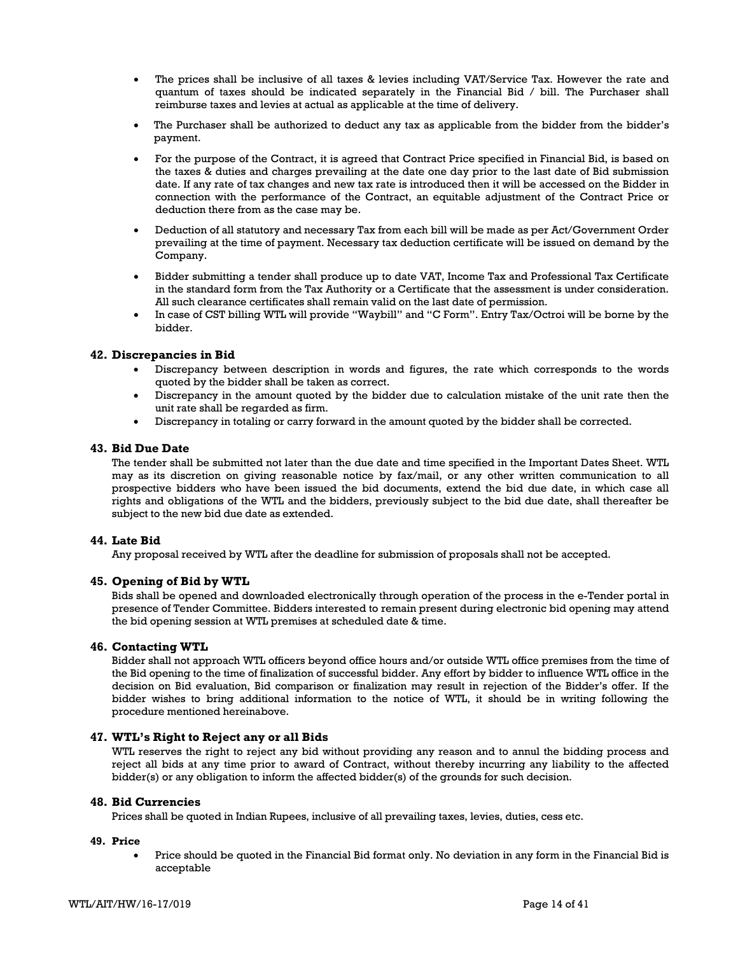- The prices shall be inclusive of all taxes & levies including VAT/Service Tax. However the rate and quantum of taxes should be indicated separately in the Financial Bid / bill. The Purchaser shall reimburse taxes and levies at actual as applicable at the time of delivery.
- The Purchaser shall be authorized to deduct any tax as applicable from the bidder from the bidder's payment.
- For the purpose of the Contract, it is agreed that Contract Price specified in Financial Bid, is based on the taxes & duties and charges prevailing at the date one day prior to the last date of Bid submission date. If any rate of tax changes and new tax rate is introduced then it will be accessed on the Bidder in connection with the performance of the Contract, an equitable adjustment of the Contract Price or deduction there from as the case may be.
- Deduction of all statutory and necessary Tax from each bill will be made as per Act/Government Order prevailing at the time of payment. Necessary tax deduction certificate will be issued on demand by the Company.
- Bidder submitting a tender shall produce up to date VAT, Income Tax and Professional Tax Certificate in the standard form from the Tax Authority or a Certificate that the assessment is under consideration. All such clearance certificates shall remain valid on the last date of permission.
- In case of CST billing WTL will provide "Waybill" and "C Form". Entry Tax/Octroi will be borne by the bidder.

### **42. Discrepancies in Bid**

- Discrepancy between description in words and figures, the rate which corresponds to the words quoted by the bidder shall be taken as correct.
- Discrepancy in the amount quoted by the bidder due to calculation mistake of the unit rate then the unit rate shall be regarded as firm.
- Discrepancy in totaling or carry forward in the amount quoted by the bidder shall be corrected.

#### **43. Bid Due Date**

The tender shall be submitted not later than the due date and time specified in the Important Dates Sheet. WTL may as its discretion on giving reasonable notice by fax/mail, or any other written communication to all prospective bidders who have been issued the bid documents, extend the bid due date, in which case all rights and obligations of the WTL and the bidders, previously subject to the bid due date, shall thereafter be subject to the new bid due date as extended.

#### **44. Late Bid**

Any proposal received by WTL after the deadline for submission of proposals shall not be accepted.

#### **45. Opening of Bid by WTL**

Bids shall be opened and downloaded electronically through operation of the process in the e-Tender portal in presence of Tender Committee. Bidders interested to remain present during electronic bid opening may attend the bid opening session at WTL premises at scheduled date & time.

#### **46. Contacting WTL**

Bidder shall not approach WTL officers beyond office hours and/or outside WTL office premises from the time of the Bid opening to the time of finalization of successful bidder. Any effort by bidder to influence WTL office in the decision on Bid evaluation, Bid comparison or finalization may result in rejection of the Bidder's offer. If the bidder wishes to bring additional information to the notice of WTL, it should be in writing following the procedure mentioned hereinabove.

#### **47. WTL's Right to Reject any or all Bids**

WTL reserves the right to reject any bid without providing any reason and to annul the bidding process and reject all bids at any time prior to award of Contract, without thereby incurring any liability to the affected bidder(s) or any obligation to inform the affected bidder(s) of the grounds for such decision.

#### **48. Bid Currencies**

Prices shall be quoted in Indian Rupees, inclusive of all prevailing taxes, levies, duties, cess etc.

### **49. Price**

• Price should be quoted in the Financial Bid format only. No deviation in any form in the Financial Bid is acceptable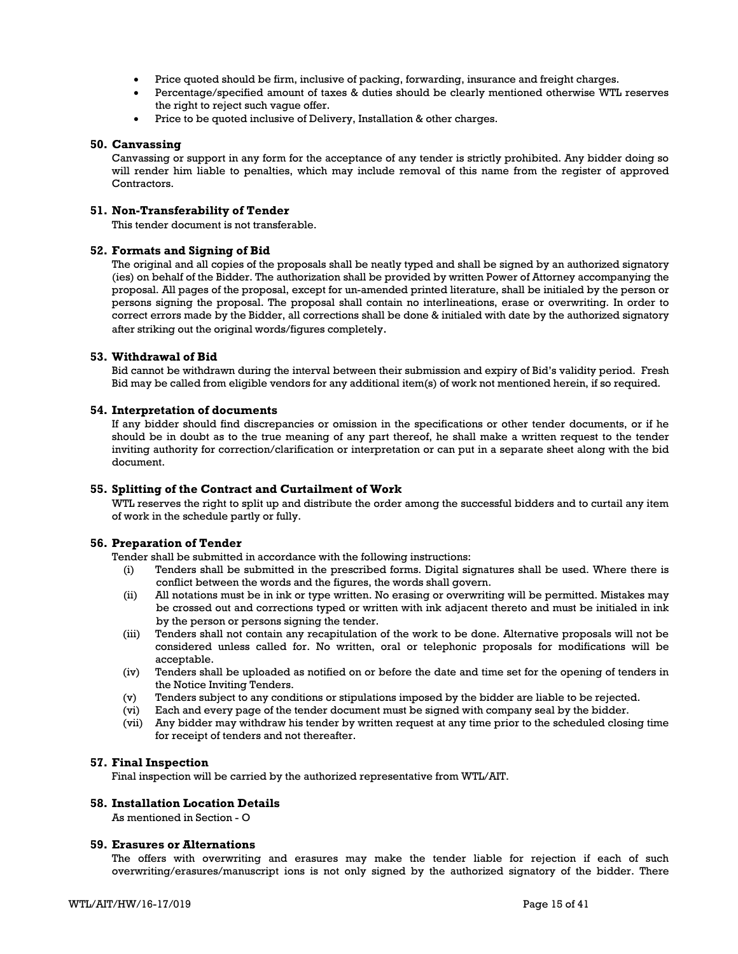- Price quoted should be firm, inclusive of packing, forwarding, insurance and freight charges.
- Percentage/specified amount of taxes & duties should be clearly mentioned otherwise WTL reserves the right to reject such vague offer.
- Price to be quoted inclusive of Delivery, Installation & other charges.

#### **50. Canvassing**

Canvassing or support in any form for the acceptance of any tender is strictly prohibited. Any bidder doing so will render him liable to penalties, which may include removal of this name from the register of approved Contractors.

### **51. Non-Transferability of Tender**

This tender document is not transferable.

#### **52. Formats and Signing of Bid**

The original and all copies of the proposals shall be neatly typed and shall be signed by an authorized signatory (ies) on behalf of the Bidder. The authorization shall be provided by written Power of Attorney accompanying the proposal. All pages of the proposal, except for un-amended printed literature, shall be initialed by the person or persons signing the proposal. The proposal shall contain no interlineations, erase or overwriting. In order to correct errors made by the Bidder, all corrections shall be done & initialed with date by the authorized signatory after striking out the original words/figures completely.

#### **53. Withdrawal of Bid**

Bid cannot be withdrawn during the interval between their submission and expiry of Bid's validity period. Fresh Bid may be called from eligible vendors for any additional item(s) of work not mentioned herein, if so required.

#### **54. Interpretation of documents**

If any bidder should find discrepancies or omission in the specifications or other tender documents, or if he should be in doubt as to the true meaning of any part thereof, he shall make a written request to the tender inviting authority for correction/clarification or interpretation or can put in a separate sheet along with the bid document.

#### **55. Splitting of the Contract and Curtailment of Work**

WTL reserves the right to split up and distribute the order among the successful bidders and to curtail any item of work in the schedule partly or fully.

#### **56. Preparation of Tender**

Tender shall be submitted in accordance with the following instructions:

- (i) Tenders shall be submitted in the prescribed forms. Digital signatures shall be used. Where there is conflict between the words and the figures, the words shall govern.
- (ii) All notations must be in ink or type written. No erasing or overwriting will be permitted. Mistakes may be crossed out and corrections typed or written with ink adjacent thereto and must be initialed in ink by the person or persons signing the tender.
- (iii) Tenders shall not contain any recapitulation of the work to be done. Alternative proposals will not be considered unless called for. No written, oral or telephonic proposals for modifications will be acceptable.
- (iv) Tenders shall be uploaded as notified on or before the date and time set for the opening of tenders in the Notice Inviting Tenders.
- (v) Tenders subject to any conditions or stipulations imposed by the bidder are liable to be rejected.
- (vi) Each and every page of the tender document must be signed with company seal by the bidder.
- (vii) Any bidder may withdraw his tender by written request at any time prior to the scheduled closing time for receipt of tenders and not thereafter.

#### **57. Final Inspection**

Final inspection will be carried by the authorized representative from WTL/AIT.

#### **58. Installation Location Details**

As mentioned in Section - O

#### **59. Erasures or Alternations**

The offers with overwriting and erasures may make the tender liable for rejection if each of such overwriting/erasures/manuscript ions is not only signed by the authorized signatory of the bidder. There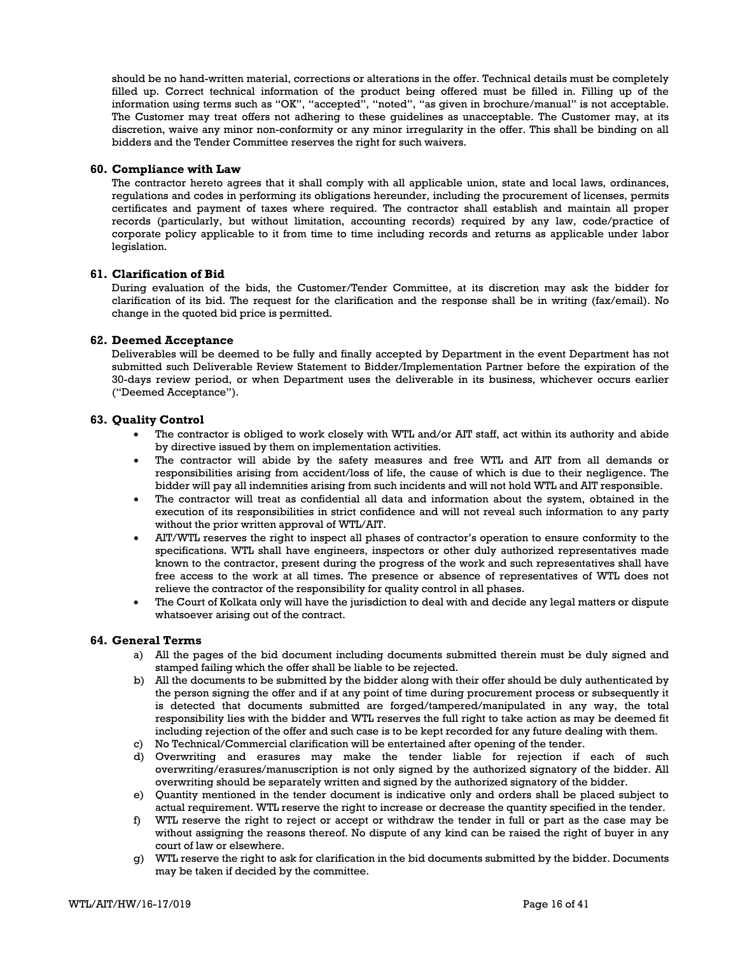should be no hand-written material, corrections or alterations in the offer. Technical details must be completely filled up. Correct technical information of the product being offered must be filled in. Filling up of the information using terms such as "OK", "accepted", "noted", "as given in brochure/manual" is not acceptable. The Customer may treat offers not adhering to these guidelines as unacceptable. The Customer may, at its discretion, waive any minor non-conformity or any minor irregularity in the offer. This shall be binding on all bidders and the Tender Committee reserves the right for such waivers.

#### **60. Compliance with Law**

The contractor hereto agrees that it shall comply with all applicable union, state and local laws, ordinances, regulations and codes in performing its obligations hereunder, including the procurement of licenses, permits certificates and payment of taxes where required. The contractor shall establish and maintain all proper records (particularly, but without limitation, accounting records) required by any law, code/practice of corporate policy applicable to it from time to time including records and returns as applicable under labor legislation.

#### **61. Clarification of Bid**

During evaluation of the bids, the Customer/Tender Committee, at its discretion may ask the bidder for clarification of its bid. The request for the clarification and the response shall be in writing (fax/email). No change in the quoted bid price is permitted.

#### **62. Deemed Acceptance**

Deliverables will be deemed to be fully and finally accepted by Department in the event Department has not submitted such Deliverable Review Statement to Bidder/Implementation Partner before the expiration of the 30-days review period, or when Department uses the deliverable in its business, whichever occurs earlier ("Deemed Acceptance").

#### **63. Quality Control**

- The contractor is obliged to work closely with WTL and/or AIT staff, act within its authority and abide by directive issued by them on implementation activities.
- The contractor will abide by the safety measures and free WTL and AIT from all demands or responsibilities arising from accident/loss of life, the cause of which is due to their negligence. The bidder will pay all indemnities arising from such incidents and will not hold WTL and AIT responsible.
- The contractor will treat as confidential all data and information about the system, obtained in the execution of its responsibilities in strict confidence and will not reveal such information to any party without the prior written approval of WTL/AIT.
- AIT/WTL reserves the right to inspect all phases of contractor's operation to ensure conformity to the specifications. WTL shall have engineers, inspectors or other duly authorized representatives made known to the contractor, present during the progress of the work and such representatives shall have free access to the work at all times. The presence or absence of representatives of WTL does not relieve the contractor of the responsibility for quality control in all phases.
- The Court of Kolkata only will have the jurisdiction to deal with and decide any legal matters or dispute whatsoever arising out of the contract.

#### **64. General Terms**

- a) All the pages of the bid document including documents submitted therein must be duly signed and stamped failing which the offer shall be liable to be rejected.
- b) All the documents to be submitted by the bidder along with their offer should be duly authenticated by the person signing the offer and if at any point of time during procurement process or subsequently it is detected that documents submitted are forged/tampered/manipulated in any way, the total responsibility lies with the bidder and WTL reserves the full right to take action as may be deemed fit including rejection of the offer and such case is to be kept recorded for any future dealing with them.
- c) No Technical/Commercial clarification will be entertained after opening of the tender.
- d) Overwriting and erasures may make the tender liable for rejection if each of such overwriting/erasures/manuscription is not only signed by the authorized signatory of the bidder. All overwriting should be separately written and signed by the authorized signatory of the bidder.
- e) Quantity mentioned in the tender document is indicative only and orders shall be placed subject to actual requirement. WTL reserve the right to increase or decrease the quantity specified in the tender.
- f) WTL reserve the right to reject or accept or withdraw the tender in full or part as the case may be without assigning the reasons thereof. No dispute of any kind can be raised the right of buyer in any court of law or elsewhere.
- g) WTL reserve the right to ask for clarification in the bid documents submitted by the bidder. Documents may be taken if decided by the committee.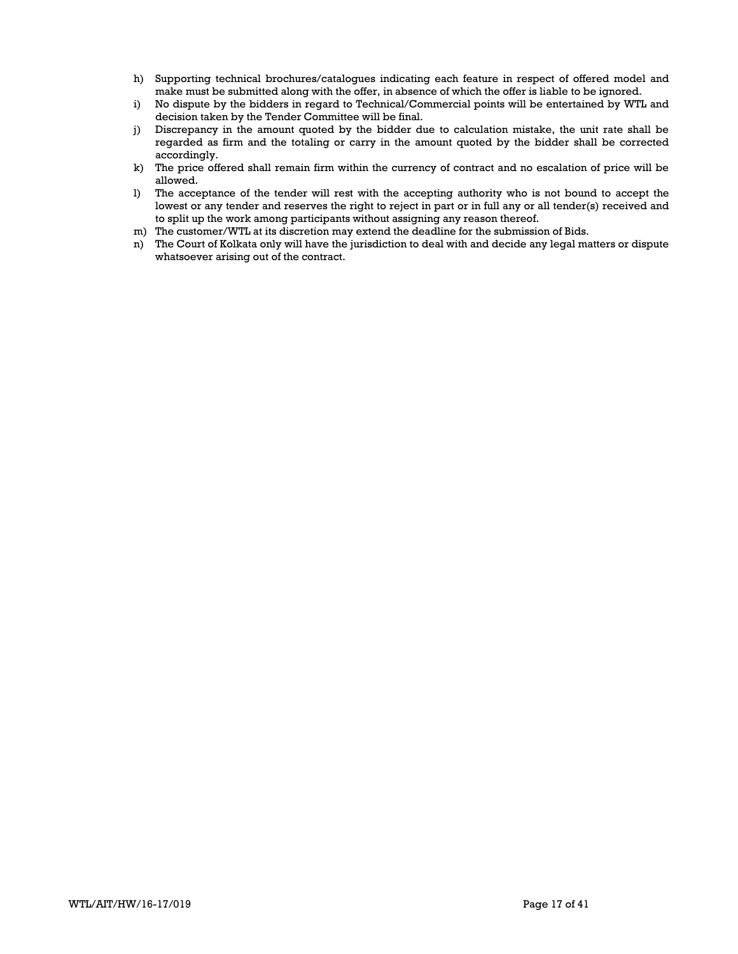- h) Supporting technical brochures/catalogues indicating each feature in respect of offered model and make must be submitted along with the offer, in absence of which the offer is liable to be ignored.
- i) No dispute by the bidders in regard to Technical/Commercial points will be entertained by WTL and decision taken by the Tender Committee will be final.
- j) Discrepancy in the amount quoted by the bidder due to calculation mistake, the unit rate shall be regarded as firm and the totaling or carry in the amount quoted by the bidder shall be corrected accordingly.
- k) The price offered shall remain firm within the currency of contract and no escalation of price will be allowed.
- l) The acceptance of the tender will rest with the accepting authority who is not bound to accept the lowest or any tender and reserves the right to reject in part or in full any or all tender(s) received and to split up the work among participants without assigning any reason thereof.
- m) The customer/WTL at its discretion may extend the deadline for the submission of Bids.
- n) The Court of Kolkata only will have the jurisdiction to deal with and decide any legal matters or dispute whatsoever arising out of the contract.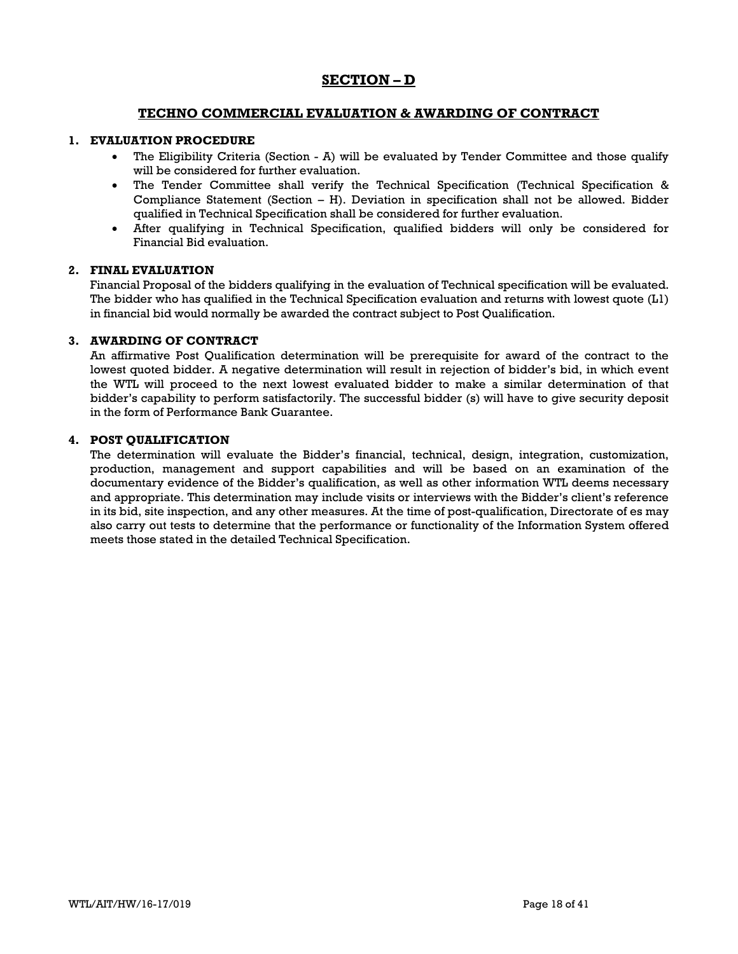# **SECTION – D**

## **TECHNO COMMERCIAL EVALUATION & AWARDING OF CONTRACT**

### **1. EVALUATION PROCEDURE**

- The Eligibility Criteria (Section A) will be evaluated by Tender Committee and those qualify will be considered for further evaluation.
- The Tender Committee shall verify the Technical Specification (Technical Specification & Compliance Statement (Section – H). Deviation in specification shall not be allowed. Bidder qualified in Technical Specification shall be considered for further evaluation.
- After qualifying in Technical Specification, qualified bidders will only be considered for Financial Bid evaluation.

### **2. FINAL EVALUATION**

Financial Proposal of the bidders qualifying in the evaluation of Technical specification will be evaluated. The bidder who has qualified in the Technical Specification evaluation and returns with lowest quote (L1) in financial bid would normally be awarded the contract subject to Post Qualification.

### **3. AWARDING OF CONTRACT**

An affirmative Post Qualification determination will be prerequisite for award of the contract to the lowest quoted bidder. A negative determination will result in rejection of bidder's bid, in which event the WTL will proceed to the next lowest evaluated bidder to make a similar determination of that bidder's capability to perform satisfactorily. The successful bidder (s) will have to give security deposit in the form of Performance Bank Guarantee.

### **4. POST QUALIFICATION**

The determination will evaluate the Bidder's financial, technical, design, integration, customization, production, management and support capabilities and will be based on an examination of the documentary evidence of the Bidder's qualification, as well as other information WTL deems necessary and appropriate. This determination may include visits or interviews with the Bidder's client's reference in its bid, site inspection, and any other measures. At the time of post-qualification, Directorate of es may also carry out tests to determine that the performance or functionality of the Information System offered meets those stated in the detailed Technical Specification.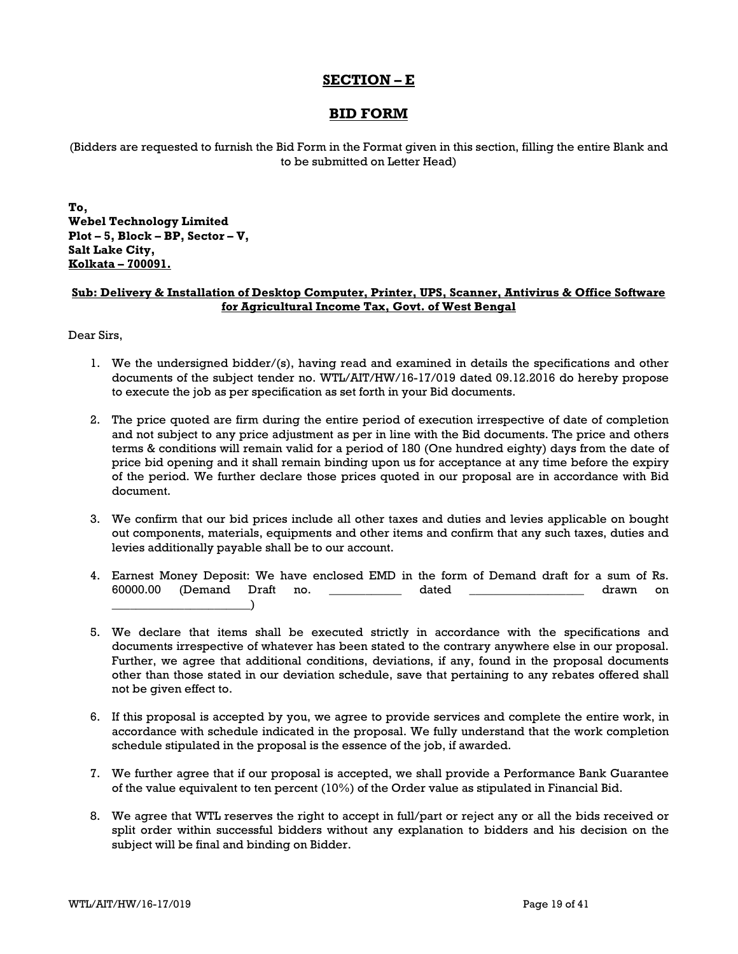## **SECTION – E**

## **BID FORM**

(Bidders are requested to furnish the Bid Form in the Format given in this section, filling the entire Blank and to be submitted on Letter Head)

**To, Webel Technology Limited Plot – 5, Block – BP, Sector – V, Salt Lake City, Kolkata – 700091.**

## **Sub: Delivery & Installation of Desktop Computer, Printer, UPS, Scanner, Antivirus & Office Software for Agricultural Income Tax, Govt. of West Bengal**

Dear Sirs,

- 1. We the undersigned bidder/(s), having read and examined in details the specifications and other documents of the subject tender no. WTL/AIT/HW/16-17/019 dated 09.12.2016 do hereby propose to execute the job as per specification as set forth in your Bid documents.
- 2. The price quoted are firm during the entire period of execution irrespective of date of completion and not subject to any price adjustment as per in line with the Bid documents. The price and others terms & conditions will remain valid for a period of 180 (One hundred eighty) days from the date of price bid opening and it shall remain binding upon us for acceptance at any time before the expiry of the period. We further declare those prices quoted in our proposal are in accordance with Bid document.
- 3. We confirm that our bid prices include all other taxes and duties and levies applicable on bought out components, materials, equipments and other items and confirm that any such taxes, duties and levies additionally payable shall be to our account.
- 4. Earnest Money Deposit: We have enclosed EMD in the form of Demand draft for a sum of Rs. 60000.00 (Demand Draft no. \_\_\_\_\_\_\_\_\_\_\_\_ dated \_\_\_\_\_\_\_\_\_\_\_\_\_\_\_\_\_\_\_ drawn on \_\_\_\_\_\_\_\_\_\_\_\_\_\_\_\_\_\_\_\_\_\_\_)
- 5. We declare that items shall be executed strictly in accordance with the specifications and documents irrespective of whatever has been stated to the contrary anywhere else in our proposal. Further, we agree that additional conditions, deviations, if any, found in the proposal documents other than those stated in our deviation schedule, save that pertaining to any rebates offered shall not be given effect to.
- 6. If this proposal is accepted by you, we agree to provide services and complete the entire work, in accordance with schedule indicated in the proposal. We fully understand that the work completion schedule stipulated in the proposal is the essence of the job, if awarded.
- 7. We further agree that if our proposal is accepted, we shall provide a Performance Bank Guarantee of the value equivalent to ten percent (10%) of the Order value as stipulated in Financial Bid.
- 8. We agree that WTL reserves the right to accept in full/part or reject any or all the bids received or split order within successful bidders without any explanation to bidders and his decision on the subject will be final and binding on Bidder.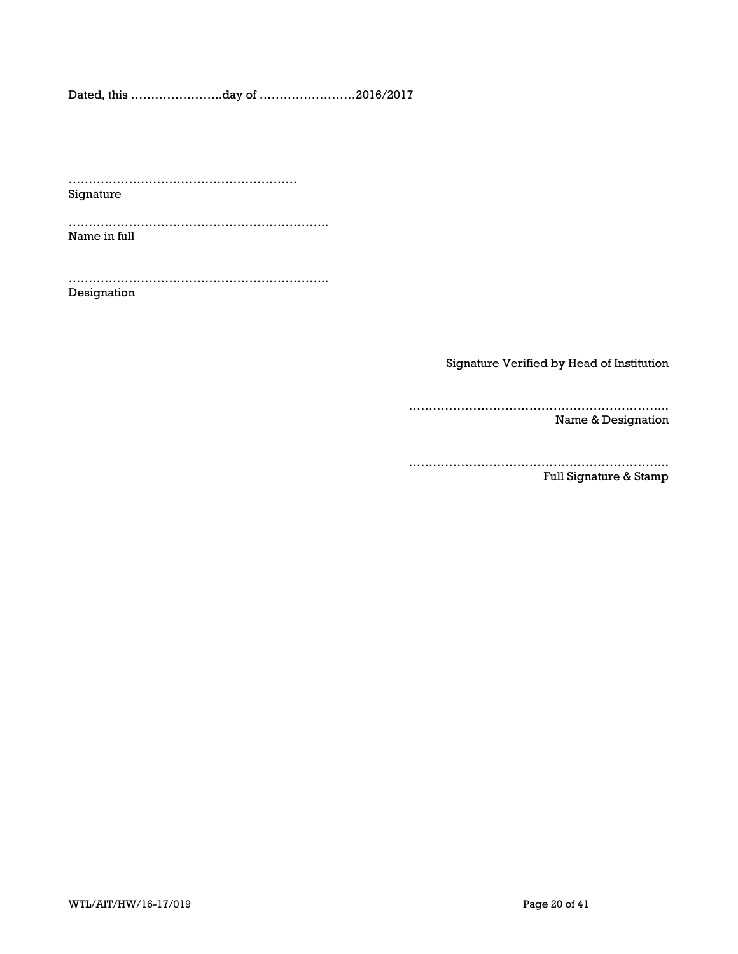Dated, this …………………..day of ……………………2016/2017

………………………………………………… Signature

……………………………………………………….. Name in full

……………………………………………………….. Designation

Signature Verified by Head of Institution

……………………………………………………….. Name & Designation

………………………………………………………..

Full Signature & Stamp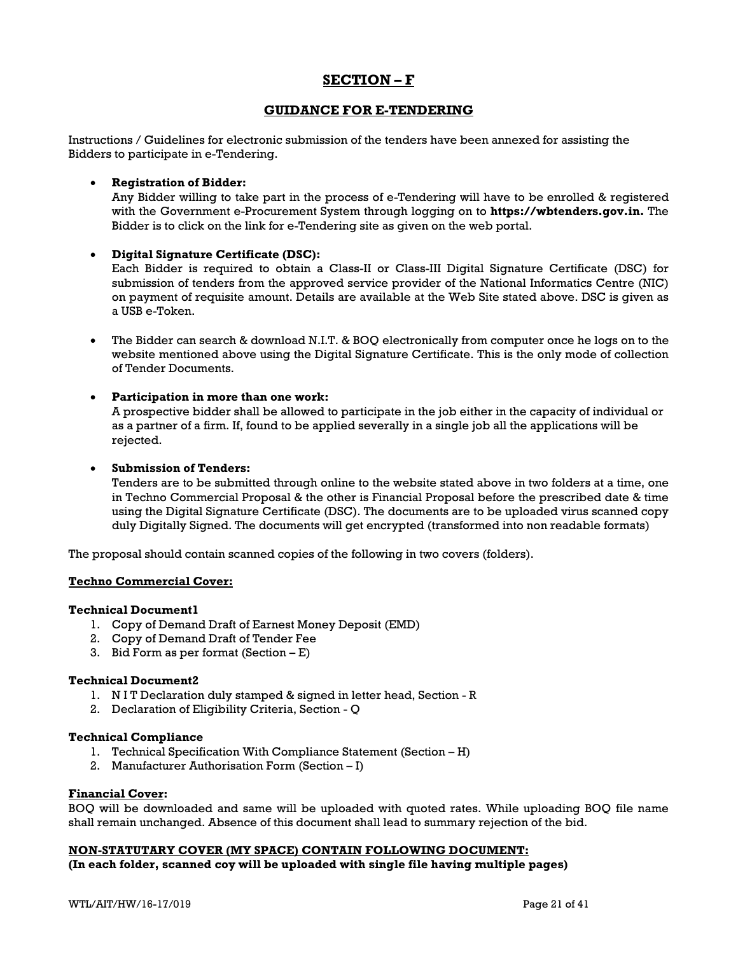## **SECTION – F**

## **GUIDANCE FOR E-TENDERING**

Instructions / Guidelines for electronic submission of the tenders have been annexed for assisting the Bidders to participate in e-Tendering.

### • **Registration of Bidder:**

Any Bidder willing to take part in the process of e-Tendering will have to be enrolled & registered with the Government e-Procurement System through logging on to **https://wbtenders.gov.in.** The Bidder is to click on the link for e-Tendering site as given on the web portal.

## • **Digital Signature Certificate (DSC):**

Each Bidder is required to obtain a Class-II or Class-III Digital Signature Certificate (DSC) for submission of tenders from the approved service provider of the National Informatics Centre (NIC) on payment of requisite amount. Details are available at the Web Site stated above. DSC is given as a USB e-Token.

• The Bidder can search & download N.I.T. & BOQ electronically from computer once he logs on to the website mentioned above using the Digital Signature Certificate. This is the only mode of collection of Tender Documents.

## • **Participation in more than one work:**

A prospective bidder shall be allowed to participate in the job either in the capacity of individual or as a partner of a firm. If, found to be applied severally in a single job all the applications will be rejected.

### • **Submission of Tenders:**

Tenders are to be submitted through online to the website stated above in two folders at a time, one in Techno Commercial Proposal & the other is Financial Proposal before the prescribed date & time using the Digital Signature Certificate (DSC). The documents are to be uploaded virus scanned copy duly Digitally Signed. The documents will get encrypted (transformed into non readable formats)

The proposal should contain scanned copies of the following in two covers (folders).

#### **Techno Commercial Cover:**

### **Technical Document1**

- 1. Copy of Demand Draft of Earnest Money Deposit (EMD)
- 2. Copy of Demand Draft of Tender Fee
- 3. Bid Form as per format (Section  $E$ )

#### **Technical Document2**

- 1. N I T Declaration duly stamped & signed in letter head, Section R
- 2. Declaration of Eligibility Criteria, Section Q

#### **Technical Compliance**

- 1. Technical Specification With Compliance Statement (Section H)
- 2. Manufacturer Authorisation Form (Section I)

## **Financial Cover:**

BOQ will be downloaded and same will be uploaded with quoted rates. While uploading BOQ file name shall remain unchanged. Absence of this document shall lead to summary rejection of the bid.

#### **NON-STATUTARY COVER (MY SPACE) CONTAIN FOLLOWING DOCUMENT:**

**(In each folder, scanned coy will be uploaded with single file having multiple pages)**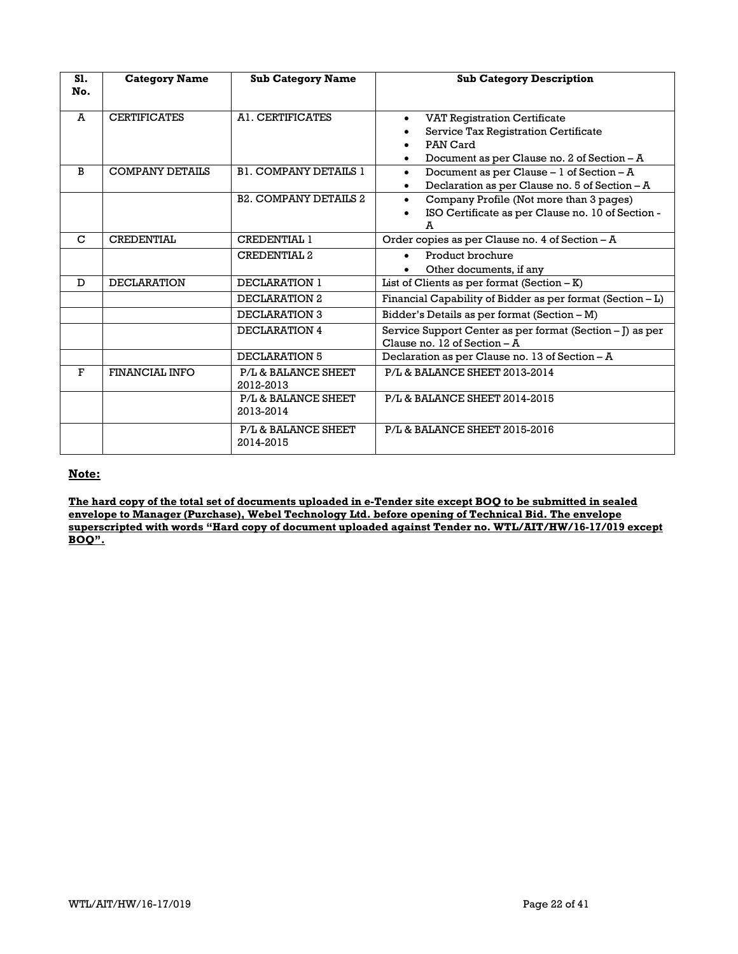| S1.<br>No.     | <b>Category Name</b>   | <b>Sub Category Name</b>         | <b>Sub Category Description</b>                                                                                                             |
|----------------|------------------------|----------------------------------|---------------------------------------------------------------------------------------------------------------------------------------------|
| $\overline{A}$ | <b>CERTIFICATES</b>    | A1. CERTIFICATES                 | <b>VAT Registration Certificate</b><br>٠<br>Service Tax Registration Certificate<br>PAN Card<br>Document as per Clause no. 2 of Section - A |
| B              | <b>COMPANY DETAILS</b> | <b>B1. COMPANY DETAILS 1</b>     | Document as per Clause - 1 of Section - A<br>$\bullet$<br>Declaration as per Clause no. 5 of Section - A                                    |
|                |                        | <b>B2. COMPANY DETAILS 2</b>     | Company Profile (Not more than 3 pages)<br>$\bullet$<br>ISO Certificate as per Clause no. 10 of Section -<br>A                              |
| $\mathbf C$    | <b>CREDENTIAL</b>      | <b>CREDENTIAL 1</b>              | Order copies as per Clause no. 4 of Section - A                                                                                             |
|                |                        | <b>CREDENTIAL 2</b>              | Product brochure<br>$\bullet$<br>Other documents, if any                                                                                    |
| D              | <b>DECLARATION</b>     | DECLARATION 1                    | List of Clients as per format $(Section - K)$                                                                                               |
|                |                        | DECLARATION 2                    | Financial Capability of Bidder as per format (Section - L)                                                                                  |
|                |                        | DECLARATION 3                    | Bidder's Details as per format (Section - M)                                                                                                |
|                |                        | DECLARATION 4                    | Service Support Center as per format (Section - J) as per<br>Clause no. 12 of Section $- A$                                                 |
|                |                        | DECLARATION 5                    | Declaration as per Clause no. 13 of Section - A                                                                                             |
| F              | <b>FINANCIAL INFO</b>  | P/L & BALANCE SHEET<br>2012-2013 | P/L & BALANCE SHEET 2013-2014                                                                                                               |
|                |                        | P/L & BALANCE SHEET<br>2013-2014 | P/L & BALANCE SHEET 2014-2015                                                                                                               |
|                |                        | P/L & BALANCE SHEET<br>2014-2015 | P/L & BALANCE SHEET 2015-2016                                                                                                               |

### **Note:**

**The hard copy of the total set of documents uploaded in e-Tender site except BOQ to be submitted in sealed envelope to Manager (Purchase), Webel Technology Ltd. before opening of Technical Bid. The envelope superscripted with words "Hard copy of document uploaded against Tender no. WTL/AIT/HW/16-17/019 except BOQ".**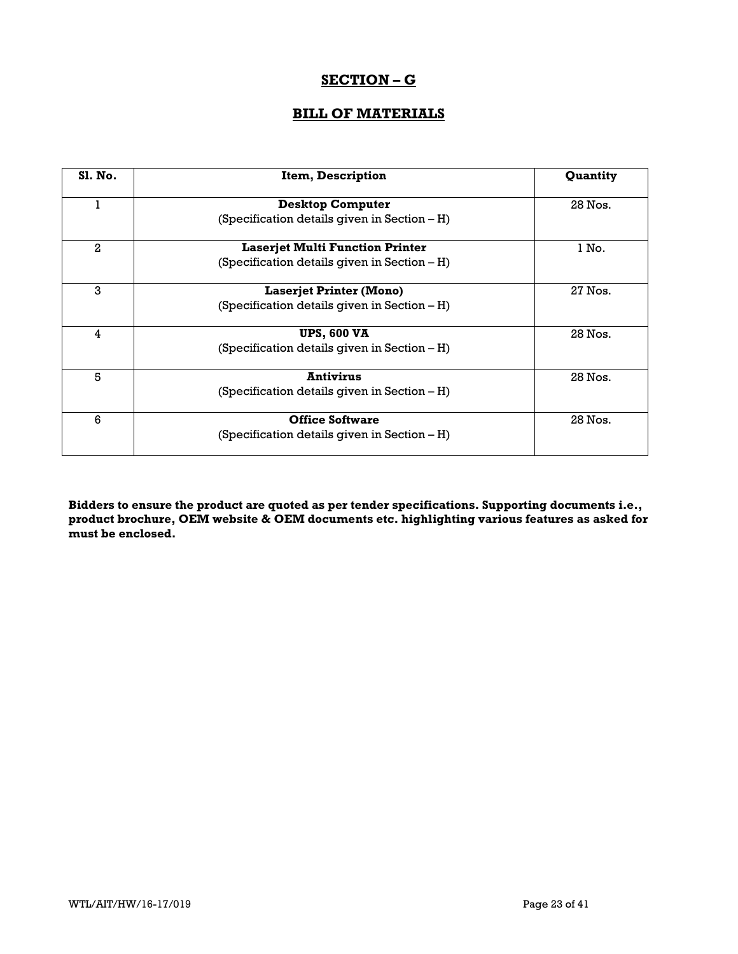# **SECTION – G**

# **BILL OF MATERIALS**

| <b>S1. No.</b> | Item, Description                               | Quantity |
|----------------|-------------------------------------------------|----------|
| T              | <b>Desktop Computer</b>                         | 28 Nos.  |
|                | (Specification details given in Section – H)    |          |
| 2              | <b>Laserjet Multi Function Printer</b>          | 1 No.    |
|                | (Specification details given in Section – H)    |          |
| 3              | <b>Laserjet Printer (Mono)</b>                  | 27 Nos.  |
|                | (Specification details given in Section – H)    |          |
| 4              | <b>UPS, 600 VA</b>                              | 28 Nos.  |
|                | (Specification details given in Section $- H$ ) |          |
| 5              | <b>Antivirus</b>                                | 28 Nos.  |
|                | (Specification details given in Section - H)    |          |
| 6              | <b>Office Software</b>                          | 28 Nos.  |
|                | (Specification details given in Section – H)    |          |

**Bidders to ensure the product are quoted as per tender specifications. Supporting documents i.e., product brochure, OEM website & OEM documents etc. highlighting various features as asked for must be enclosed.**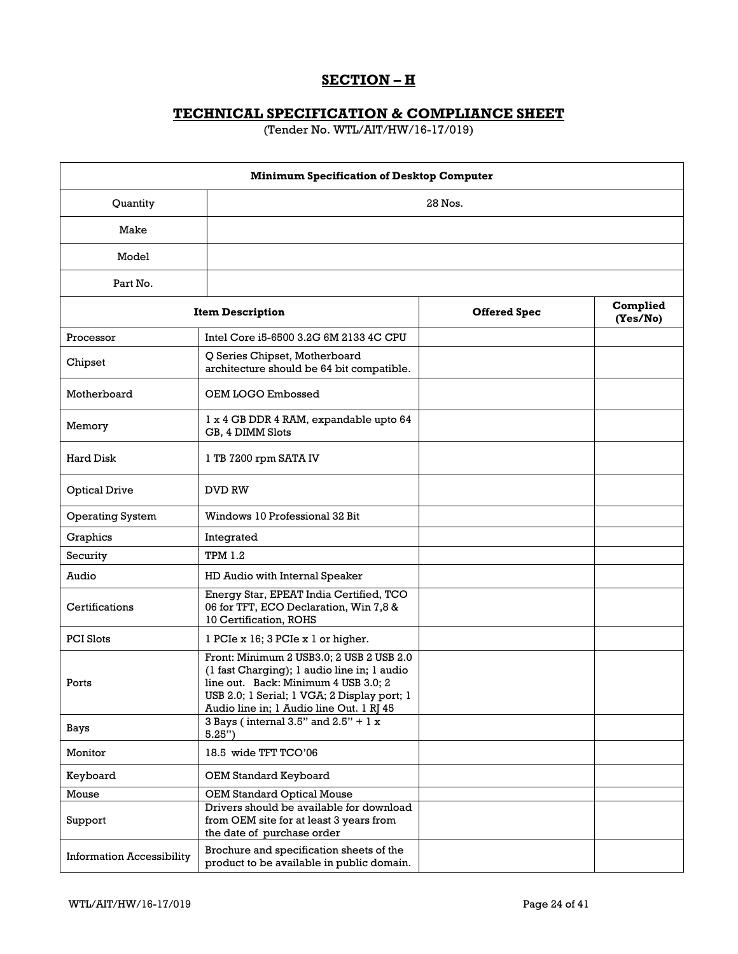# **SECTION – H**

# **TECHNICAL SPECIFICATION & COMPLIANCE SHEET**

(Tender No. WTL/AIT/HW/16-17/019)

| <b>Minimum Specification of Desktop Computer</b> |                                                                                                                                                                                                                            |                     |                      |
|--------------------------------------------------|----------------------------------------------------------------------------------------------------------------------------------------------------------------------------------------------------------------------------|---------------------|----------------------|
| 28 Nos.<br>Quantity                              |                                                                                                                                                                                                                            |                     |                      |
| Make                                             |                                                                                                                                                                                                                            |                     |                      |
| Model                                            |                                                                                                                                                                                                                            |                     |                      |
| Part No.                                         |                                                                                                                                                                                                                            |                     |                      |
|                                                  | <b>Item Description</b>                                                                                                                                                                                                    | <b>Offered Spec</b> | Complied<br>(Yes/No) |
| Processor                                        | Intel Core i5-6500 3.2G 6M 2133 4C CPU                                                                                                                                                                                     |                     |                      |
| Chipset                                          | Q Series Chipset, Motherboard<br>architecture should be 64 bit compatible.                                                                                                                                                 |                     |                      |
| Motherboard                                      | OEM LOGO Embossed                                                                                                                                                                                                          |                     |                      |
| Memory                                           | 1 x 4 GB DDR 4 RAM, expandable upto 64<br>GB, 4 DIMM Slots                                                                                                                                                                 |                     |                      |
| Hard Disk                                        | 1 TB 7200 rpm SATA IV                                                                                                                                                                                                      |                     |                      |
| <b>Optical Drive</b>                             | DVD RW                                                                                                                                                                                                                     |                     |                      |
| <b>Operating System</b>                          | Windows 10 Professional 32 Bit                                                                                                                                                                                             |                     |                      |
| Graphics                                         | Integrated                                                                                                                                                                                                                 |                     |                      |
| Security                                         | <b>TPM 1.2</b>                                                                                                                                                                                                             |                     |                      |
| Audio                                            | HD Audio with Internal Speaker                                                                                                                                                                                             |                     |                      |
| Certifications                                   | Energy Star, EPEAT India Certified, TCO<br>06 for TFT, ECO Declaration, Win 7,8 &<br>10 Certification, ROHS                                                                                                                |                     |                      |
| <b>PCI Slots</b>                                 | 1 PCIe x 16; 3 PCIe x 1 or higher.                                                                                                                                                                                         |                     |                      |
| Ports                                            | Front: Minimum 2 USB3.0; 2 USB 2 USB 2.0<br>(1 fast Charging); 1 audio line in; 1 audio<br>line out. Back: Minimum 4 USB 3.0; 2<br>USB 2.0; 1 Serial; 1 VGA; 2 Display port; 1<br>Audio line in; 1 Audio line Out. 1 RJ 45 |                     |                      |
| Bays                                             | 3 Bays (internal $3.5$ " and $2.5$ " + 1 x<br>5.25")                                                                                                                                                                       |                     |                      |
| Monitor                                          | 18.5 wide TFT TCO'06                                                                                                                                                                                                       |                     |                      |
| Keyboard                                         | OEM Standard Keyboard                                                                                                                                                                                                      |                     |                      |
| Mouse                                            | <b>OEM Standard Optical Mouse</b>                                                                                                                                                                                          |                     |                      |
| Support                                          | Drivers should be available for download<br>from OEM site for at least 3 years from<br>the date of purchase order                                                                                                          |                     |                      |
| <b>Information Accessibility</b>                 | Brochure and specification sheets of the<br>product to be available in public domain.                                                                                                                                      |                     |                      |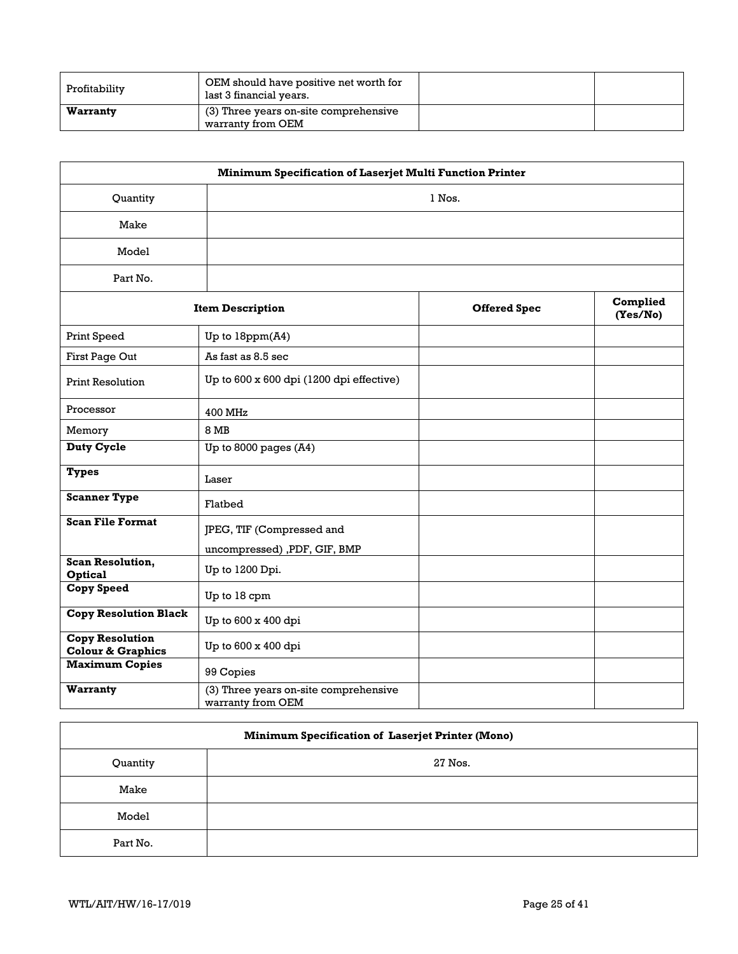| Profitability | OEM should have positive net worth for<br>last 3 financial years. |  |
|---------------|-------------------------------------------------------------------|--|
| Warranty      | (3) Three years on-site comprehensive<br>warranty from OEM        |  |

| Minimum Specification of Laserjet Multi Function Printer |                                                            |                     |                      |
|----------------------------------------------------------|------------------------------------------------------------|---------------------|----------------------|
| Quantity                                                 | 1 Nos.                                                     |                     |                      |
| Make                                                     |                                                            |                     |                      |
| Model                                                    |                                                            |                     |                      |
| Part No.                                                 |                                                            |                     |                      |
|                                                          | <b>Item Description</b>                                    | <b>Offered Spec</b> | Complied<br>(Yes/No) |
| Print Speed                                              | Up to 18ppm(A4)                                            |                     |                      |
| First Page Out                                           | As fast as 8.5 sec                                         |                     |                      |
| <b>Print Resolution</b>                                  | Up to 600 x 600 dpi (1200 dpi effective)                   |                     |                      |
| Processor                                                | 400 MHz                                                    |                     |                      |
| Memory                                                   | <b>8 MB</b>                                                |                     |                      |
| <b>Duty Cycle</b>                                        | Up to 8000 pages (A4)                                      |                     |                      |
| <b>Types</b>                                             | Laser                                                      |                     |                      |
| <b>Scanner Type</b>                                      | Flatbed                                                    |                     |                      |
| <b>Scan File Format</b>                                  | JPEG, TIF (Compressed and<br>uncompressed) ,PDF, GIF, BMP  |                     |                      |
| <b>Scan Resolution,</b><br><b>Optical</b>                | Up to 1200 Dpi.                                            |                     |                      |
| Copy Speed                                               | Up to 18 cpm                                               |                     |                      |
| <b>Copy Resolution Black</b>                             | Up to 600 x 400 dpi                                        |                     |                      |
| <b>Copy Resolution</b><br><b>Colour &amp; Graphics</b>   | Up to 600 x 400 dpi                                        |                     |                      |
| <b>Maximum Copies</b>                                    | 99 Copies                                                  |                     |                      |
| Warranty                                                 | (3) Three years on-site comprehensive<br>warranty from OEM |                     |                      |

| <b>Minimum Specification of Laserjet Printer (Mono)</b> |         |  |  |
|---------------------------------------------------------|---------|--|--|
| Quantity                                                | 27 Nos. |  |  |
| Make                                                    |         |  |  |
| Model                                                   |         |  |  |
| Part No.                                                |         |  |  |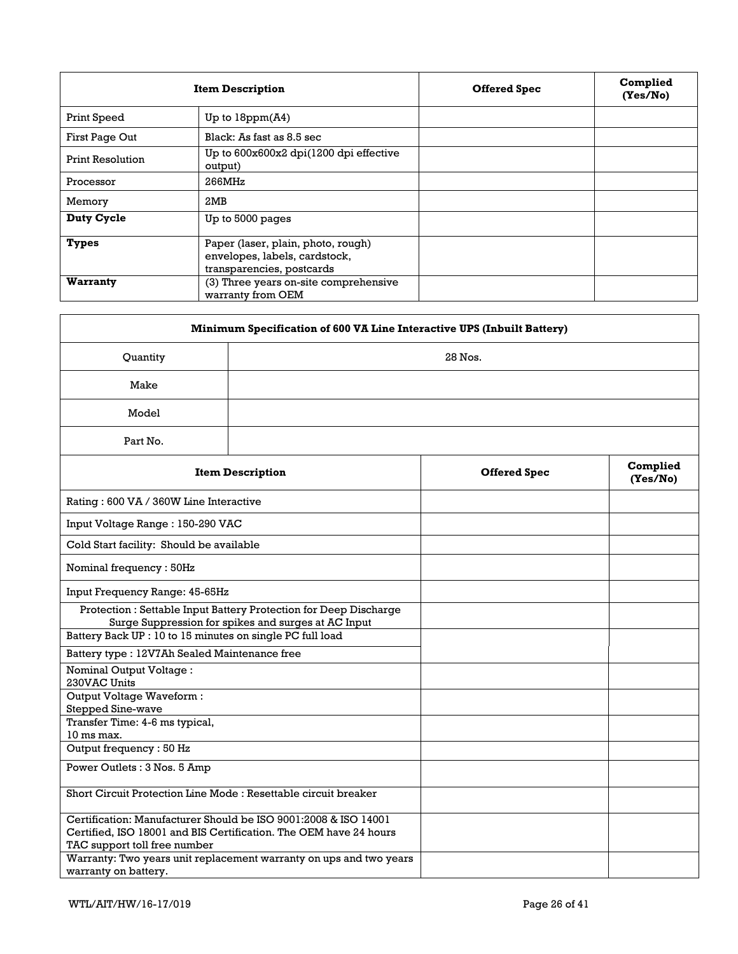|                         | <b>Item Description</b>                                                                          | <b>Offered Spec</b> | Complied<br>(Yes/No) |
|-------------------------|--------------------------------------------------------------------------------------------------|---------------------|----------------------|
| Print Speed             | Up to $18ppm(A4)$                                                                                |                     |                      |
| First Page Out          | Black: As fast as 8.5 sec                                                                        |                     |                      |
| <b>Print Resolution</b> | Up to 600x600x2 dpi(1200 dpi effective<br>output)                                                |                     |                      |
| Processor               | 266MHz                                                                                           |                     |                      |
| Memory                  | 2MB                                                                                              |                     |                      |
| Duty Cycle              | Up to 5000 pages                                                                                 |                     |                      |
| <b>Types</b>            | Paper (laser, plain, photo, rough)<br>envelopes, labels, cardstock,<br>transparencies, postcards |                     |                      |
| Warranty                | (3) Three years on-site comprehensive<br>warranty from OEM                                       |                     |                      |

| Minimum Specification of 600 VA Line Interactive UPS (Inbuilt Battery) |                                                                                                                                      |                     |                      |  |  |
|------------------------------------------------------------------------|--------------------------------------------------------------------------------------------------------------------------------------|---------------------|----------------------|--|--|
| Quantity                                                               | 28 Nos.                                                                                                                              |                     |                      |  |  |
| Make                                                                   |                                                                                                                                      |                     |                      |  |  |
| Model                                                                  |                                                                                                                                      |                     |                      |  |  |
| Part No.                                                               |                                                                                                                                      |                     |                      |  |  |
|                                                                        | <b>Item Description</b>                                                                                                              | <b>Offered Spec</b> | Complied<br>(Yes/No) |  |  |
| Rating: 600 VA / 360W Line Interactive                                 |                                                                                                                                      |                     |                      |  |  |
| Input Voltage Range: 150-290 VAC                                       |                                                                                                                                      |                     |                      |  |  |
| Cold Start facility: Should be available                               |                                                                                                                                      |                     |                      |  |  |
| Nominal frequency: 50Hz                                                |                                                                                                                                      |                     |                      |  |  |
| Input Frequency Range: 45-65Hz                                         |                                                                                                                                      |                     |                      |  |  |
|                                                                        | Protection: Settable Input Battery Protection for Deep Discharge<br>Surge Suppression for spikes and surges at AC Input              |                     |                      |  |  |
| Battery Back UP: 10 to 15 minutes on single PC full load               |                                                                                                                                      |                     |                      |  |  |
| Battery type: 12V7Ah Sealed Maintenance free                           |                                                                                                                                      |                     |                      |  |  |
| <b>Nominal Output Voltage:</b><br>230VAC Units                         |                                                                                                                                      |                     |                      |  |  |
| Output Voltage Waveform:<br>Stepped Sine-wave                          |                                                                                                                                      |                     |                      |  |  |
| Transfer Time: 4-6 ms typical,                                         |                                                                                                                                      |                     |                      |  |  |
| 10 ms max.<br>Output frequency: 50 Hz                                  |                                                                                                                                      |                     |                      |  |  |
| Power Outlets: 3 Nos. 5 Amp                                            |                                                                                                                                      |                     |                      |  |  |
| Short Circuit Protection Line Mode: Resettable circuit breaker         |                                                                                                                                      |                     |                      |  |  |
| TAC support toll free number                                           | Certification: Manufacturer Should be ISO 9001:2008 & ISO 14001<br>Certified, ISO 18001 and BIS Certification. The OEM have 24 hours |                     |                      |  |  |
| warranty on battery.                                                   | Warranty: Two years unit replacement warranty on ups and two years                                                                   |                     |                      |  |  |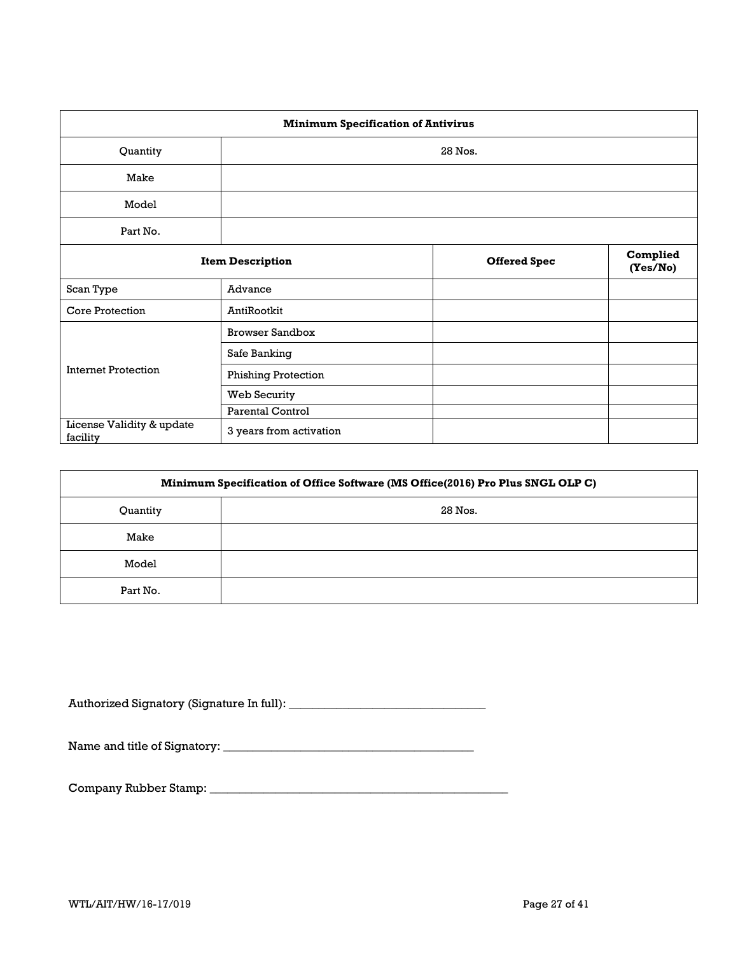| <b>Minimum Specification of Antivirus</b> |                            |                     |                      |  |  |
|-------------------------------------------|----------------------------|---------------------|----------------------|--|--|
| Quantity<br>28 Nos.                       |                            |                     |                      |  |  |
| Make                                      |                            |                     |                      |  |  |
| Model                                     |                            |                     |                      |  |  |
| Part No.                                  |                            |                     |                      |  |  |
|                                           | <b>Item Description</b>    | <b>Offered Spec</b> | Complied<br>(Yes/No) |  |  |
| Scan Type                                 | Advance                    |                     |                      |  |  |
| <b>Core Protection</b>                    | AntiRootkit                |                     |                      |  |  |
|                                           | <b>Browser Sandbox</b>     |                     |                      |  |  |
|                                           | Safe Banking               |                     |                      |  |  |
| <b>Internet Protection</b>                | <b>Phishing Protection</b> |                     |                      |  |  |
|                                           | Web Security               |                     |                      |  |  |
|                                           | <b>Parental Control</b>    |                     |                      |  |  |
| License Validity & update<br>facility     | 3 years from activation    |                     |                      |  |  |

| Minimum Specification of Office Software (MS Office(2016) Pro Plus SNGL OLP C) |         |  |  |  |  |
|--------------------------------------------------------------------------------|---------|--|--|--|--|
| Quantity                                                                       | 28 Nos. |  |  |  |  |
| Make                                                                           |         |  |  |  |  |
| Model                                                                          |         |  |  |  |  |
| Part No.                                                                       |         |  |  |  |  |

Authorized Signatory (Signature In full): \_\_\_\_\_\_\_\_\_\_\_\_\_\_\_\_\_\_\_\_\_\_\_\_\_\_\_\_\_\_\_\_\_

Name and title of Signatory: \_\_\_\_\_\_\_\_\_\_\_\_\_\_\_\_\_\_\_\_\_\_\_\_\_\_\_\_\_\_\_\_\_\_\_\_\_\_\_\_\_\_

Company Rubber Stamp: \_\_\_\_\_\_\_\_\_\_\_\_\_\_\_\_\_\_\_\_\_\_\_\_\_\_\_\_\_\_\_\_\_\_\_\_\_\_\_\_\_\_\_\_\_\_\_\_\_\_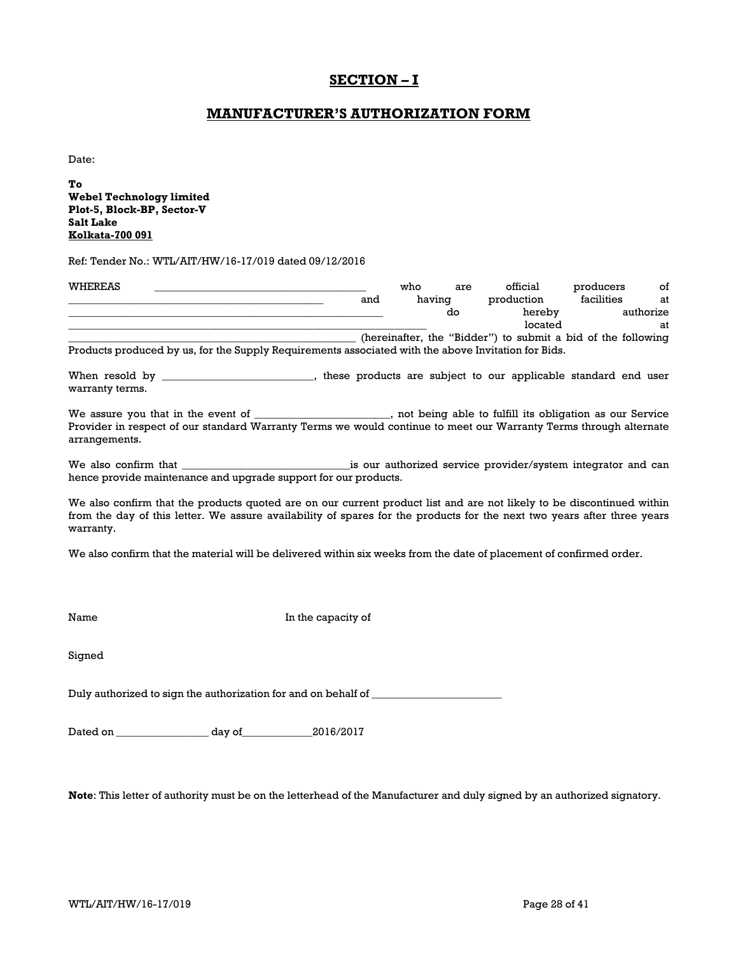# **SECTION – I**

## **MANUFACTURER'S AUTHORIZATION FORM**

Date:

**To Webel Technology limited Plot-5, Block-BP, Sector-V Salt Lake Kolkata-700 091**

Ref: Tender No.: WTL/AIT/HW/16-17/019 dated 09/12/2016

| WHEREAS |                                                                                                     |     | who    | are | official                                                     | producers  | of        |
|---------|-----------------------------------------------------------------------------------------------------|-----|--------|-----|--------------------------------------------------------------|------------|-----------|
|         |                                                                                                     | and | having |     | production                                                   | facilities | at        |
|         |                                                                                                     |     |        | do  | hereby                                                       |            | authorize |
|         |                                                                                                     |     |        |     | located                                                      |            | at        |
|         |                                                                                                     |     |        |     | (hereinafter, the "Bidder") to submit a bid of the following |            |           |
|         | Products produced by us, for the Supply Requirements associated with the above Invitation for Bids. |     |        |     |                                                              |            |           |
|         |                                                                                                     |     |        |     |                                                              |            |           |

When resold by \_\_\_\_\_\_\_\_\_\_\_\_\_\_\_\_\_\_\_\_\_\_\_\_, these products are subject to our applicable standard end user warranty terms.

We assure you that in the event of \_\_\_\_\_\_\_\_\_\_\_\_\_\_\_\_\_\_\_, not being able to fulfill its obligation as our Service Provider in respect of our standard Warranty Terms we would continue to meet our Warranty Terms through alternate arrangements.

We also confirm that \_\_\_\_\_\_\_\_\_\_\_\_\_\_\_\_\_\_\_\_\_\_\_\_\_\_\_\_\_\_\_is our authorized service provider/system integrator and can hence provide maintenance and upgrade support for our products.

We also confirm that the products quoted are on our current product list and are not likely to be discontinued within from the day of this letter. We assure availability of spares for the products for the next two years after three years warranty.

We also confirm that the material will be delivered within six weeks from the date of placement of confirmed order.

Name In the capacity of

Signed

Duly authorized to sign the authorization for and on behalf of \_\_\_\_\_\_\_\_\_\_\_\_\_\_\_\_\_\_

Dated on \_\_\_\_\_\_\_\_\_\_\_\_\_\_\_\_\_ day of\_\_\_\_\_\_\_\_\_\_\_\_\_2016/2017

**Note**: This letter of authority must be on the letterhead of the Manufacturer and duly signed by an authorized signatory.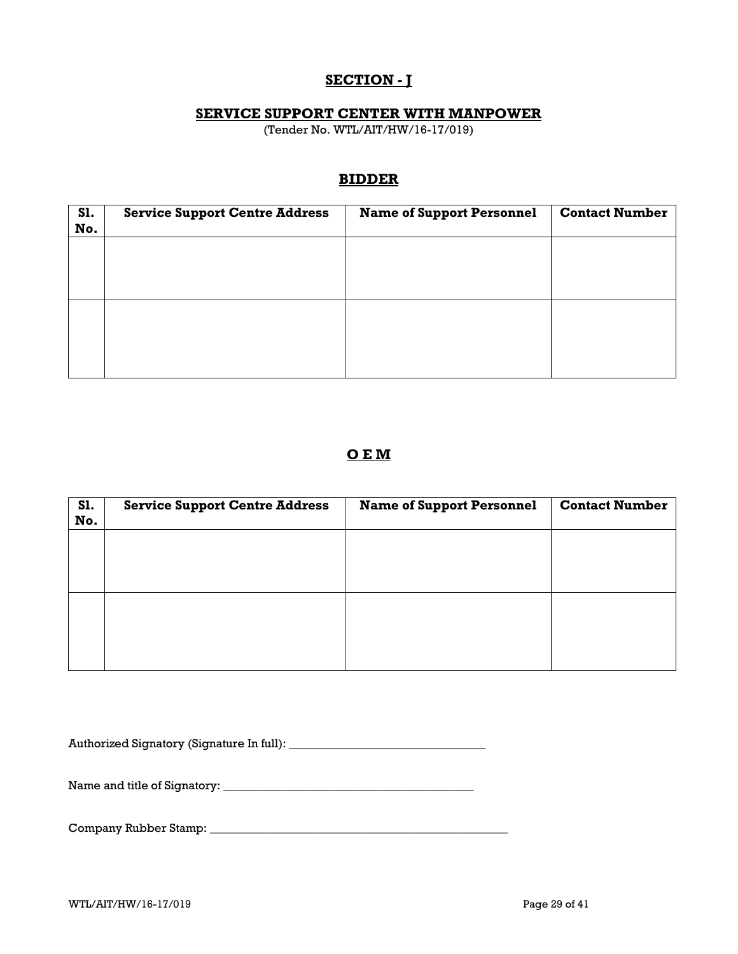# **SECTION - J**

## **SERVICE SUPPORT CENTER WITH MANPOWER**

(Tender No. WTL/AIT/HW/16-17/019)

## **BIDDER**

| <b>S1.</b><br>No. | <b>Service Support Centre Address</b> | <b>Name of Support Personnel</b> | <b>Contact Number</b> |
|-------------------|---------------------------------------|----------------------------------|-----------------------|
|                   |                                       |                                  |                       |
|                   |                                       |                                  |                       |
|                   |                                       |                                  |                       |
|                   |                                       |                                  |                       |
|                   |                                       |                                  |                       |
|                   |                                       |                                  |                       |

# **O E M**

| S1.<br>No. | <b>Service Support Centre Address</b> | <b>Name of Support Personnel</b> | <b>Contact Number</b> |
|------------|---------------------------------------|----------------------------------|-----------------------|
|            |                                       |                                  |                       |
|            |                                       |                                  |                       |
|            |                                       |                                  |                       |
|            |                                       |                                  |                       |
|            |                                       |                                  |                       |

Authorized Signatory (Signature In full): \_\_\_\_\_\_\_\_\_\_\_\_\_\_\_\_\_\_\_\_\_\_\_\_\_\_\_\_\_\_\_\_\_

Name and title of Signatory: \_\_\_\_\_\_\_\_\_\_\_\_\_\_\_\_\_\_\_\_\_\_\_\_\_\_\_\_\_\_\_\_\_\_\_\_\_\_\_\_\_\_

Company Rubber Stamp: \_\_\_\_\_\_\_\_\_\_\_\_\_\_\_\_\_\_\_\_\_\_\_\_\_\_\_\_\_\_\_\_\_\_\_\_\_\_\_\_\_\_\_\_\_\_\_\_\_\_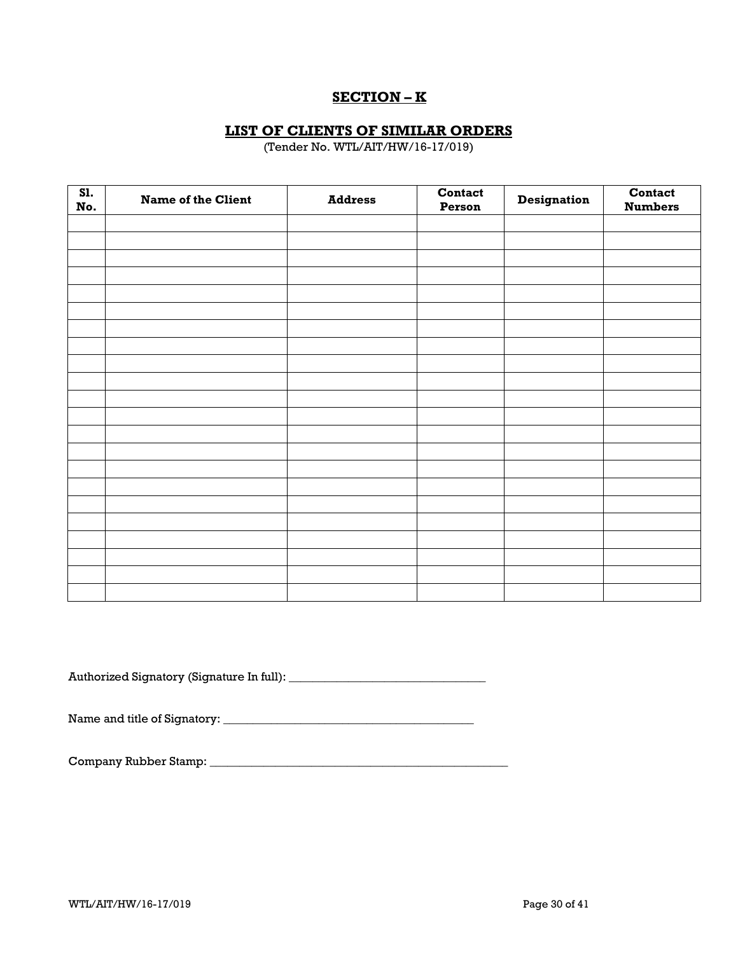# **SECTION – K**

## **LIST OF CLIENTS OF SIMILAR ORDERS**

(Tender No. WTL/AIT/HW/16-17/019)

| SI.<br>No. | <b>Name of the Client</b> | <b>Address</b> | Contact<br>Person | <b>Designation</b> | Contact<br><b>Numbers</b> |
|------------|---------------------------|----------------|-------------------|--------------------|---------------------------|
|            |                           |                |                   |                    |                           |
|            |                           |                |                   |                    |                           |
|            |                           |                |                   |                    |                           |
|            |                           |                |                   |                    |                           |
|            |                           |                |                   |                    |                           |
|            |                           |                |                   |                    |                           |
|            |                           |                |                   |                    |                           |
|            |                           |                |                   |                    |                           |
|            |                           |                |                   |                    |                           |
|            |                           |                |                   |                    |                           |
|            |                           |                |                   |                    |                           |
|            |                           |                |                   |                    |                           |
|            |                           |                |                   |                    |                           |
|            |                           |                |                   |                    |                           |
|            |                           |                |                   |                    |                           |
|            |                           |                |                   |                    |                           |
|            |                           |                |                   |                    |                           |
|            |                           |                |                   |                    |                           |
|            |                           |                |                   |                    |                           |
|            |                           |                |                   |                    |                           |
|            |                           |                |                   |                    |                           |
|            |                           |                |                   |                    |                           |

Authorized Signatory (Signature In full): \_\_\_\_\_\_\_\_\_\_\_\_\_\_\_\_\_\_\_\_\_\_\_\_\_\_\_\_\_\_\_\_\_

Name and title of Signatory: \_\_\_\_\_\_\_\_\_\_\_\_\_\_\_\_\_\_\_\_\_\_\_\_\_\_\_\_\_\_\_\_\_\_\_\_\_\_\_\_\_\_

Company Rubber Stamp: \_\_\_\_\_\_\_\_\_\_\_\_\_\_\_\_\_\_\_\_\_\_\_\_\_\_\_\_\_\_\_\_\_\_\_\_\_\_\_\_\_\_\_\_\_\_\_\_\_\_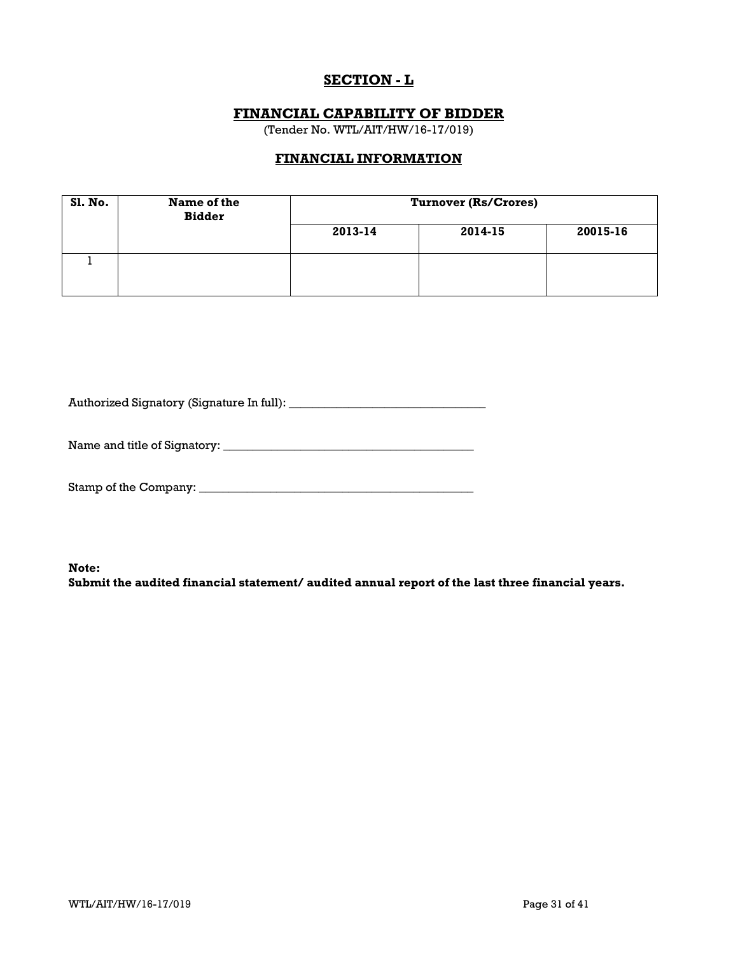# **SECTION - L**

## **FINANCIAL CAPABILITY OF BIDDER**

(Tender No. WTL/AIT/HW/16-17/019)

## **FINANCIAL INFORMATION**

| <b>S1. No.</b> | Name of the<br><b>Bidder</b> | <b>Turnover (Rs/Crores)</b> |         |          |  |
|----------------|------------------------------|-----------------------------|---------|----------|--|
|                |                              | 2013-14                     | 2014-15 | 20015-16 |  |
|                |                              |                             |         |          |  |

Authorized Signatory (Signature In full): \_\_\_\_\_\_\_\_\_\_\_\_\_\_\_\_\_\_\_\_\_\_\_\_\_\_\_\_\_\_\_\_\_

Name and title of Signatory: \_\_\_\_\_\_\_\_\_\_\_\_\_\_\_\_\_\_\_\_\_\_\_\_\_\_\_\_\_\_\_\_\_\_\_\_\_\_\_\_\_\_

Stamp of the Company: \_\_\_\_\_\_\_\_\_\_\_\_\_\_\_\_\_\_\_\_\_\_\_\_\_\_\_\_\_\_\_\_\_\_\_\_\_\_\_\_\_\_\_\_\_\_

**Note:** 

**Submit the audited financial statement/ audited annual report of the last three financial years.**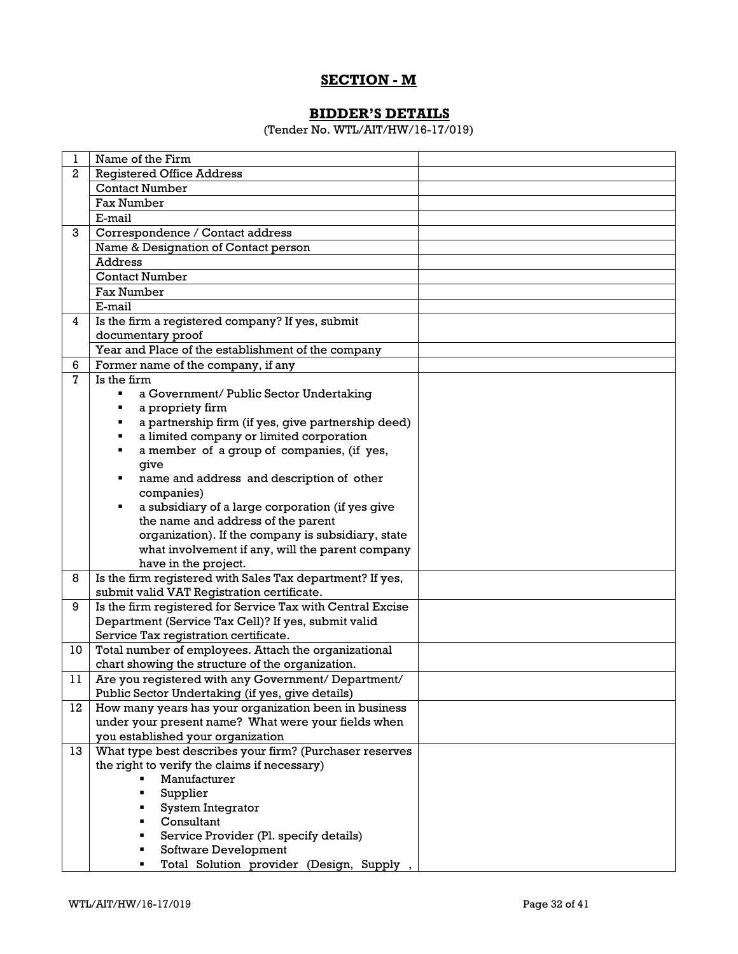# **SECTION - M**

# **BIDDER'S DETAILS**

(Tender No. WTL/AIT/HW/16-17/019)

| 1              | Name of the Firm                                                                                                                                                 |  |
|----------------|------------------------------------------------------------------------------------------------------------------------------------------------------------------|--|
| $\mathbf{2}$   | <b>Registered Office Address</b>                                                                                                                                 |  |
|                | <b>Contact Number</b>                                                                                                                                            |  |
|                | Fax Number                                                                                                                                                       |  |
|                | E-mail                                                                                                                                                           |  |
| 3              | Correspondence / Contact address                                                                                                                                 |  |
|                | Name & Designation of Contact person                                                                                                                             |  |
|                | <b>Address</b>                                                                                                                                                   |  |
|                | <b>Contact Number</b>                                                                                                                                            |  |
|                | Fax Number                                                                                                                                                       |  |
|                | E-mail                                                                                                                                                           |  |
| 4              | Is the firm a registered company? If yes, submit                                                                                                                 |  |
|                | documentary proof                                                                                                                                                |  |
|                | Year and Place of the establishment of the company                                                                                                               |  |
| 6              | Former name of the company, if any                                                                                                                               |  |
| $\overline{7}$ | Is the firm                                                                                                                                                      |  |
|                | a Government/ Public Sector Undertaking<br>٠                                                                                                                     |  |
|                | a propriety firm<br>٠                                                                                                                                            |  |
|                | a partnership firm (if yes, give partnership deed)<br>٠                                                                                                          |  |
|                | a limited company or limited corporation<br>٠                                                                                                                    |  |
|                | a member of a group of companies, (if yes,<br>٠                                                                                                                  |  |
|                | give                                                                                                                                                             |  |
|                | name and address and description of other<br>٠                                                                                                                   |  |
|                | companies)                                                                                                                                                       |  |
|                | a subsidiary of a large corporation (if yes give<br>٠                                                                                                            |  |
|                | the name and address of the parent                                                                                                                               |  |
|                | organization). If the company is subsidiary, state                                                                                                               |  |
|                | what involvement if any, will the parent company                                                                                                                 |  |
|                | have in the project.                                                                                                                                             |  |
| 8              | Is the firm registered with Sales Tax department? If yes,                                                                                                        |  |
|                | submit valid VAT Registration certificate.                                                                                                                       |  |
| 9              | Is the firm registered for Service Tax with Central Excise                                                                                                       |  |
|                | Department (Service Tax Cell)? If yes, submit valid                                                                                                              |  |
|                | Service Tax registration certificate.                                                                                                                            |  |
| 10             | Total number of employees. Attach the organizational                                                                                                             |  |
|                | chart showing the structure of the organization.                                                                                                                 |  |
| 11             | Are you registered with any Government/ Department/                                                                                                              |  |
|                | Public Sector Undertaking (if yes, give details)                                                                                                                 |  |
| 12             | How many years has your organization been in business                                                                                                            |  |
|                | under your present name? What were your fields when                                                                                                              |  |
|                | you established your organization                                                                                                                                |  |
| 13             | What type best describes your firm? (Purchaser reserves                                                                                                          |  |
|                | the right to verify the claims if necessary)                                                                                                                     |  |
|                | Manufacturer                                                                                                                                                     |  |
|                |                                                                                                                                                                  |  |
|                |                                                                                                                                                                  |  |
|                |                                                                                                                                                                  |  |
|                |                                                                                                                                                                  |  |
|                |                                                                                                                                                                  |  |
|                | Supplier<br><b>System Integrator</b><br>Consultant<br>Service Provider (Pl. specify details)<br>Software Development<br>Total Solution provider (Design, Supply, |  |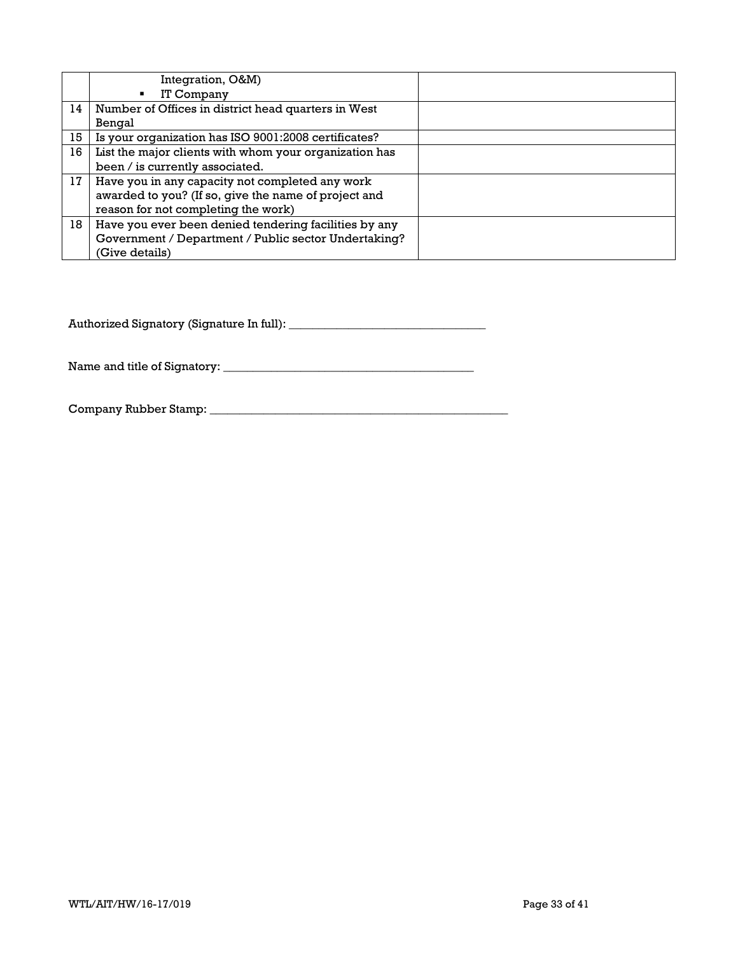|    | Integration, O&M)<br>IT Company<br>$\blacksquare$                                                                                              |  |
|----|------------------------------------------------------------------------------------------------------------------------------------------------|--|
| 14 | Number of Offices in district head quarters in West<br>Bengal                                                                                  |  |
| 15 | Is your organization has ISO 9001:2008 certificates?                                                                                           |  |
| 16 | List the major clients with whom your organization has<br>been / is currently associated.                                                      |  |
| 17 | Have you in any capacity not completed any work<br>awarded to you? (If so, give the name of project and<br>reason for not completing the work) |  |
| 18 | Have you ever been denied tendering facilities by any<br>Government / Department / Public sector Undertaking?<br>(Give details)                |  |

Authorized Signatory (Signature In full): \_\_\_\_\_\_\_\_\_\_\_\_\_\_\_\_\_\_\_\_\_\_\_\_\_\_\_\_\_\_\_\_\_

Name and title of Signatory: \_\_\_\_\_\_\_\_\_\_\_\_\_\_\_\_\_\_\_\_\_\_\_\_\_\_\_\_\_\_\_\_\_\_\_\_\_\_\_\_\_\_

Company Rubber Stamp: \_\_\_\_\_\_\_\_\_\_\_\_\_\_\_\_\_\_\_\_\_\_\_\_\_\_\_\_\_\_\_\_\_\_\_\_\_\_\_\_\_\_\_\_\_\_\_\_\_\_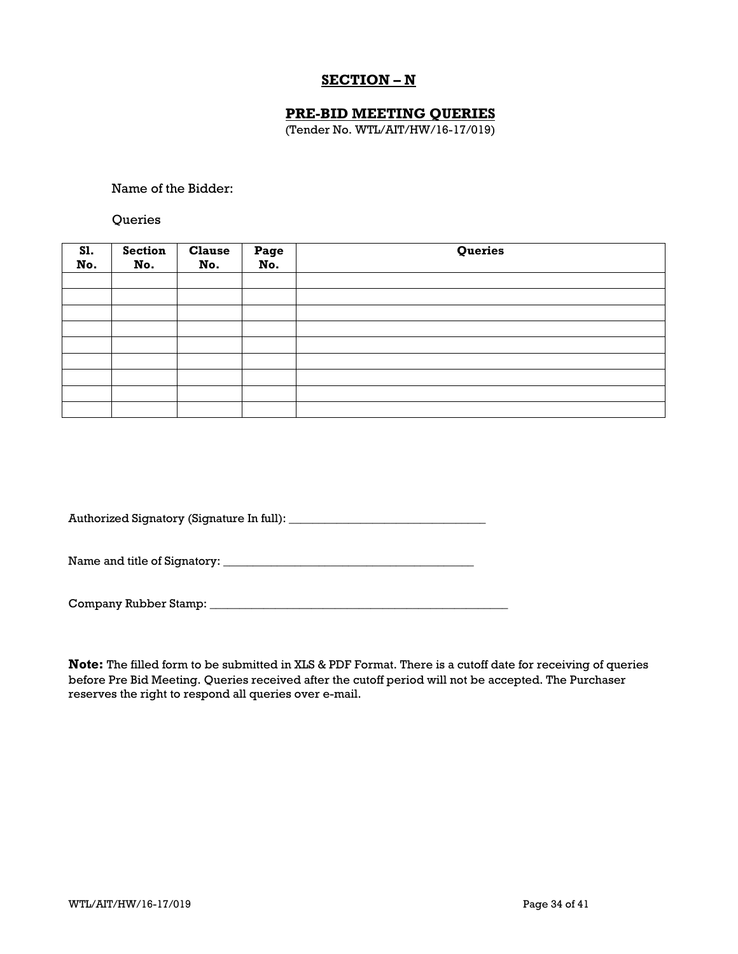# **SECTION – N**

## **PRE-BID MEETING QUERIES**

(Tender No. WTL/AIT/HW/16-17/019)

Name of the Bidder:

**Oueries** 

| <b>S1.</b><br>No. | Section<br>No. | <b>Clause</b><br>No. | Page<br>No. | Queries |
|-------------------|----------------|----------------------|-------------|---------|
|                   |                |                      |             |         |
|                   |                |                      |             |         |
|                   |                |                      |             |         |
|                   |                |                      |             |         |
|                   |                |                      |             |         |
|                   |                |                      |             |         |
|                   |                |                      |             |         |
|                   |                |                      |             |         |
|                   |                |                      |             |         |

Authorized Signatory (Signature In full): \_\_\_\_\_\_\_\_\_\_\_\_\_\_\_\_\_\_\_\_\_\_\_\_\_\_\_\_\_\_\_\_\_

Name and title of Signatory: \_\_\_\_\_\_\_\_\_\_\_\_\_\_\_\_\_\_\_\_\_\_\_\_\_\_\_\_\_\_\_\_\_\_\_\_\_\_\_\_\_\_

Company Rubber Stamp: \_\_\_\_\_\_\_\_\_\_\_\_\_\_\_\_\_\_\_\_\_\_\_\_\_\_\_\_\_\_\_\_\_\_\_\_\_\_\_\_\_\_\_\_\_\_\_\_\_\_

**Note:** The filled form to be submitted in XLS & PDF Format. There is a cutoff date for receiving of queries before Pre Bid Meeting. Queries received after the cutoff period will not be accepted. The Purchaser reserves the right to respond all queries over e-mail.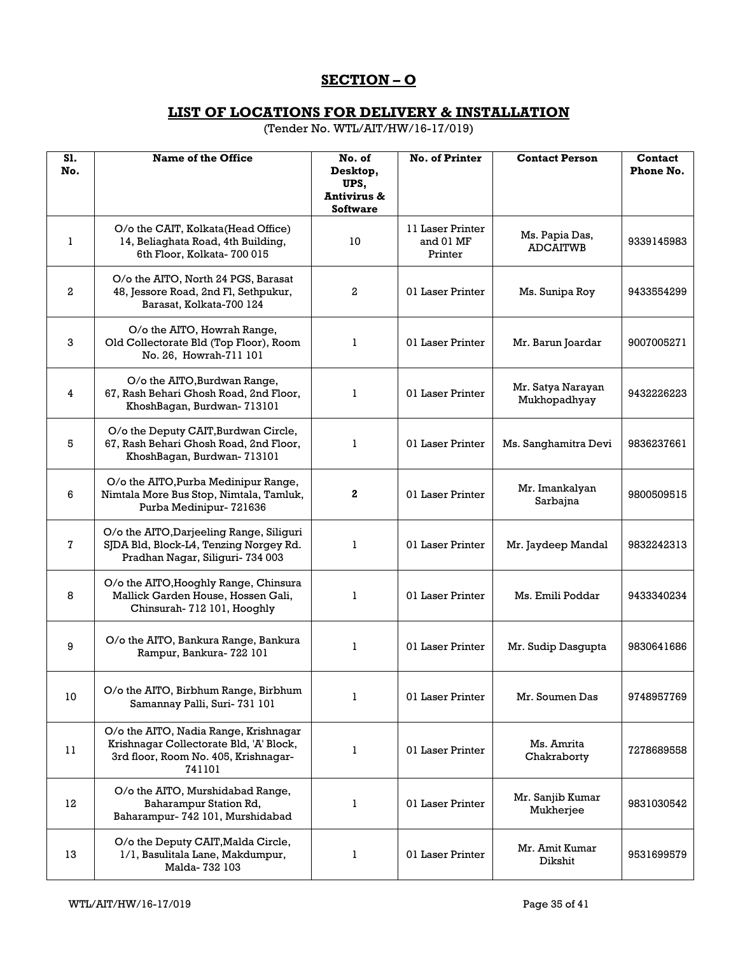# **SECTION – O**

## **LIST OF LOCATIONS FOR DELIVERY & INSTALLATION**

(Tender No. WTL/AIT/HW/16-17/019)

| S1.<br>No.   | Name of the Office                                                                                                                 | No. of<br>Desktop,                     | No. of Printer                           | <b>Contact Person</b>             | Contact<br>Phone No. |
|--------------|------------------------------------------------------------------------------------------------------------------------------------|----------------------------------------|------------------------------------------|-----------------------------------|----------------------|
|              |                                                                                                                                    | UPS,<br>Antivirus &<br><b>Software</b> |                                          |                                   |                      |
| 1            | O/o the CAIT, Kolkata (Head Office)<br>14, Beliaghata Road, 4th Building,<br>6th Floor, Kolkata- 700 015                           | 10                                     | 11 Laser Printer<br>and 01 MF<br>Printer | Ms. Papia Das,<br><b>ADCAITWB</b> | 9339145983           |
| $\mathbf{2}$ | O/o the AITO, North 24 PGS, Barasat<br>48, Jessore Road, 2nd Fl, Sethpukur,<br>Barasat, Kolkata-700 124                            | 2                                      | 01 Laser Printer                         | Ms. Sunipa Roy                    | 9433554299           |
| 3            | O/o the AITO, Howrah Range,<br>Old Collectorate Bld (Top Floor), Room<br>No. 26, Howrah-711 101                                    | 1                                      | 01 Laser Printer                         | Mr. Barun Joardar                 | 9007005271           |
| 4            | O/o the AITO, Burdwan Range,<br>67, Rash Behari Ghosh Road, 2nd Floor,<br>KhoshBagan, Burdwan-713101                               | 1                                      | 01 Laser Printer                         | Mr. Satya Narayan<br>Mukhopadhyay | 9432226223           |
| 5            | O/o the Deputy CAIT, Burdwan Circle,<br>67, Rash Behari Ghosh Road, 2nd Floor,<br>KhoshBagan, Burdwan-713101                       | 1                                      | 01 Laser Printer                         | Ms. Sanghamitra Devi              | 9836237661           |
| 6            | O/o the AITO, Purba Medinipur Range,<br>Nimtala More Bus Stop, Nimtala, Tamluk,<br>Purba Medinipur- 721636                         | $\mathbf{2}$                           | 01 Laser Printer                         | Mr. Imankalyan<br>Sarbajna        | 9800509515           |
| 7            | O/o the AITO, Darjeeling Range, Siliguri<br>SJDA Bld, Block-L4, Tenzing Norgey Rd.<br>Pradhan Nagar, Siliguri- 734 003             | 1                                      | 01 Laser Printer                         | Mr. Jaydeep Mandal                | 9832242313           |
| 8            | O/o the AITO, Hooghly Range, Chinsura<br>Mallick Garden House, Hossen Gali,<br>Chinsurah- 712 101, Hooghly                         | 1                                      | 01 Laser Printer                         | Ms. Emili Poddar                  | 9433340234           |
| 9            | O/o the AITO, Bankura Range, Bankura<br>Rampur, Bankura- 722 101                                                                   | 1                                      | 01 Laser Printer                         | Mr. Sudip Dasgupta                | 9830641686           |
| 10           | O/o the AITO, Birbhum Range, Birbhum<br>Samannay Palli, Suri-731 101                                                               | 1                                      | 01 Laser Printer                         | Mr. Soumen Das                    | 9748957769           |
| 11           | O/o the AITO, Nadia Range, Krishnagar<br>Krishnagar Collectorate Bld, 'A' Block,<br>3rd floor, Room No. 405, Krishnagar-<br>741101 | ı                                      | 01 Laser Printer                         | Ms. Amrita<br>Chakraborty         | 7278689558           |
| 12           | O/o the AITO, Murshidabad Range,<br>Baharampur Station Rd,<br>Baharampur- 742 101, Murshidabad                                     | ı                                      | 01 Laser Printer                         | Mr. Sanjib Kumar<br>Mukherjee     | 9831030542           |
| 13           | O/o the Deputy CAIT, Malda Circle,<br>1/1, Basulitala Lane, Makdumpur,<br>Malda-732 103                                            | ı                                      | 01 Laser Printer                         | Mr. Amit Kumar<br>Dikshit         | 9531699579           |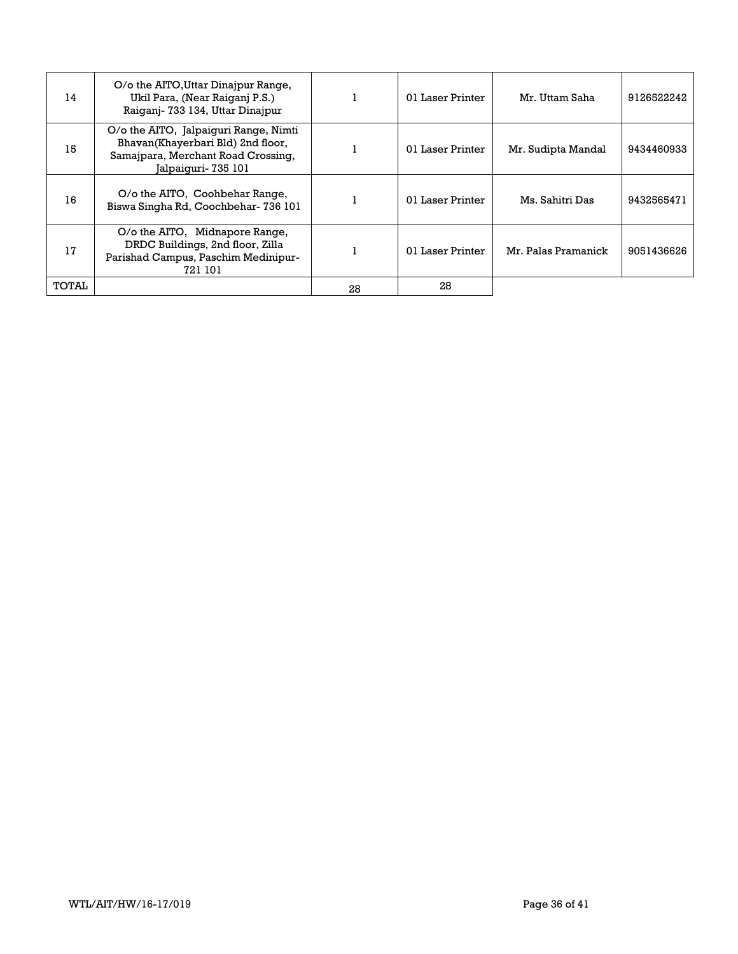| 14    | O/o the AITO, Uttar Dinajpur Range,<br>Ukil Para, (Near Raiganj P.S.)<br>Raiganj-733 134, Uttar Dinajpur                                |    | 01 Laser Printer | Mr. Uttam Saha      | 9126522242 |
|-------|-----------------------------------------------------------------------------------------------------------------------------------------|----|------------------|---------------------|------------|
| 15    | O/o the AITO, Jalpaiquri Range, Nimti<br>Bhavan(Khayerbari Bld) 2nd floor,<br>Samajpara, Merchant Road Crossing,<br>Jalpaiguri- 735 101 |    | 01 Laser Printer | Mr. Sudipta Mandal  | 9434460933 |
| 16    | O/o the AITO, Coohbehar Range,<br>Biswa Singha Rd, Coochbehar- 736 101                                                                  |    | 01 Laser Printer | Ms. Sahitri Das     | 9432565471 |
| 17    | O/o the AITO, Midnapore Range,<br>DRDC Buildings, 2nd floor, Zilla<br>Parishad Campus, Paschim Medinipur-<br>721 101                    |    | 01 Laser Printer | Mr. Palas Pramanick | 9051436626 |
| TOTAL |                                                                                                                                         | 28 | 28               |                     |            |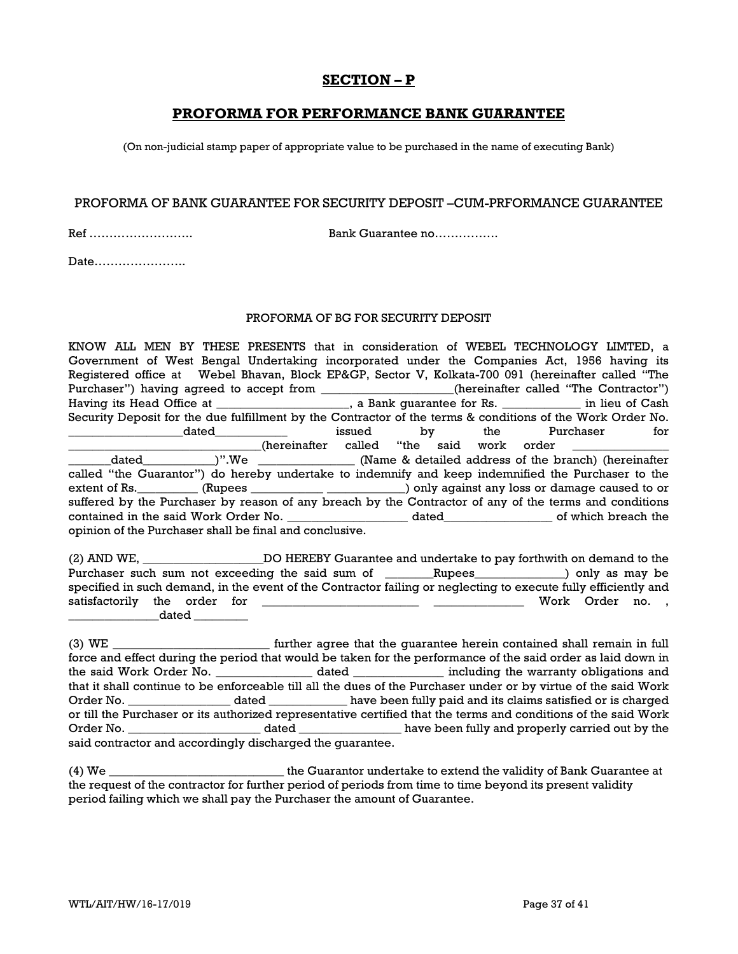# **SECTION – P**

## **PROFORMA FOR PERFORMANCE BANK GUARANTEE**

(On non-judicial stamp paper of appropriate value to be purchased in the name of executing Bank)

### PROFORMA OF BANK GUARANTEE FOR SECURITY DEPOSIT –CUM-PRFORMANCE GUARANTEE

Ref …………………….. Bank Guarantee no…………….

Date…………………..

## PROFORMA OF BG FOR SECURITY DEPOSIT

KNOW ALL MEN BY THESE PRESENTS that in consideration of WEBEL TECHNOLOGY LIMTED, a Government of West Bengal Undertaking incorporated under the Companies Act, 1956 having its Registered office at Webel Bhavan, Block EP&GP, Sector V, Kolkata-700 091 (hereinafter called "The Purchaser") having agreed to accept from \_\_\_\_\_\_\_\_\_\_\_\_\_\_\_\_\_\_\_\_\_\_(hereinafter called "The Contractor") Having its Head Office at \_\_\_\_\_\_\_\_\_\_\_\_\_\_\_\_\_\_\_\_\_\_, a Bank guarantee for Rs. \_\_\_\_\_\_\_\_\_\_\_\_\_ in lieu of Cash Security Deposit for the due fulfillment by the Contractor of the terms & conditions of the Work Order No. dated the second issued by the Purchaser for \_\_\_\_\_\_\_\_\_\_\_\_\_\_\_\_\_\_\_\_\_\_\_\_\_\_\_\_\_\_\_\_(hereinafter called "the said work order \_\_\_\_\_\_\_\_\_\_\_\_\_\_\_\_ \_\_\_\_\_\_\_dated\_\_\_\_\_\_\_\_\_\_\_\_)".We \_\_\_\_\_\_\_\_\_\_\_\_\_\_\_\_ (Name & detailed address of the branch) (hereinafter called "the Guarantor") do hereby undertake to indemnify and keep indemnified the Purchaser to the extent of Rs. \_\_\_\_\_\_\_\_\_ (Rupees \_\_\_\_\_\_\_\_\_\_\_\_\_\_\_\_\_\_\_\_\_\_\_\_\_\_\_) only against any loss or damage caused to or suffered by the Purchaser by reason of any breach by the Contractor of any of the terms and conditions contained in the said Work Order No. \_\_\_\_\_\_\_\_\_\_\_\_\_\_\_\_\_\_\_\_\_\_ dated\_\_\_\_\_\_\_\_\_\_\_\_\_\_\_\_\_\_\_ of which breach the opinion of the Purchaser shall be final and conclusive.

(2) AND WE, The Solution CO HEREBY Guarantee and undertake to pay forthwith on demand to the Purchaser such sum not exceeding the said sum of \_\_\_\_\_\_\_Rupees\_\_\_\_\_\_\_\_\_\_\_\_\_\_) only as may be specified in such demand, in the event of the Contractor failing or neglecting to execute fully efficiently and satisfactorily the order for \_\_\_\_\_\_\_\_\_\_\_\_\_\_\_\_\_\_\_\_\_\_\_\_\_\_ \_\_\_\_\_\_\_\_\_\_\_\_\_\_\_ Work Order no. ,  $\Delta$ dated  $\Box$ 

(3) WE \_\_\_\_\_\_\_\_\_\_\_\_\_\_\_\_\_\_\_\_\_\_\_\_\_\_ further agree that the guarantee herein contained shall remain in full force and effect during the period that would be taken for the performance of the said order as laid down in the said Work Order No. \_\_\_\_\_\_\_\_\_\_\_\_\_\_\_\_\_\_ dated \_\_\_\_\_\_\_\_\_\_\_\_\_\_\_ including the warranty obligations and that it shall continue to be enforceable till all the dues of the Purchaser under or by virtue of the said Work Order No. \_\_\_\_\_\_\_\_\_\_\_\_\_\_\_\_\_\_\_ dated \_\_\_\_\_\_\_\_\_\_\_\_\_\_ have been fully paid and its claims satisfied or is charged or till the Purchaser or its authorized representative certified that the terms and conditions of the said Work Order No. \_\_\_\_\_\_\_\_\_\_\_\_\_\_\_\_\_\_\_\_\_\_ dated \_\_\_\_\_\_\_\_\_\_\_\_\_\_\_\_\_ have been fully and properly carried out by the said contractor and accordingly discharged the guarantee.

(4) We \_\_\_\_\_\_\_\_\_\_\_\_\_\_\_\_\_\_\_\_\_\_\_\_\_\_\_\_\_ the Guarantor undertake to extend the validity of Bank Guarantee at the request of the contractor for further period of periods from time to time beyond its present validity period failing which we shall pay the Purchaser the amount of Guarantee.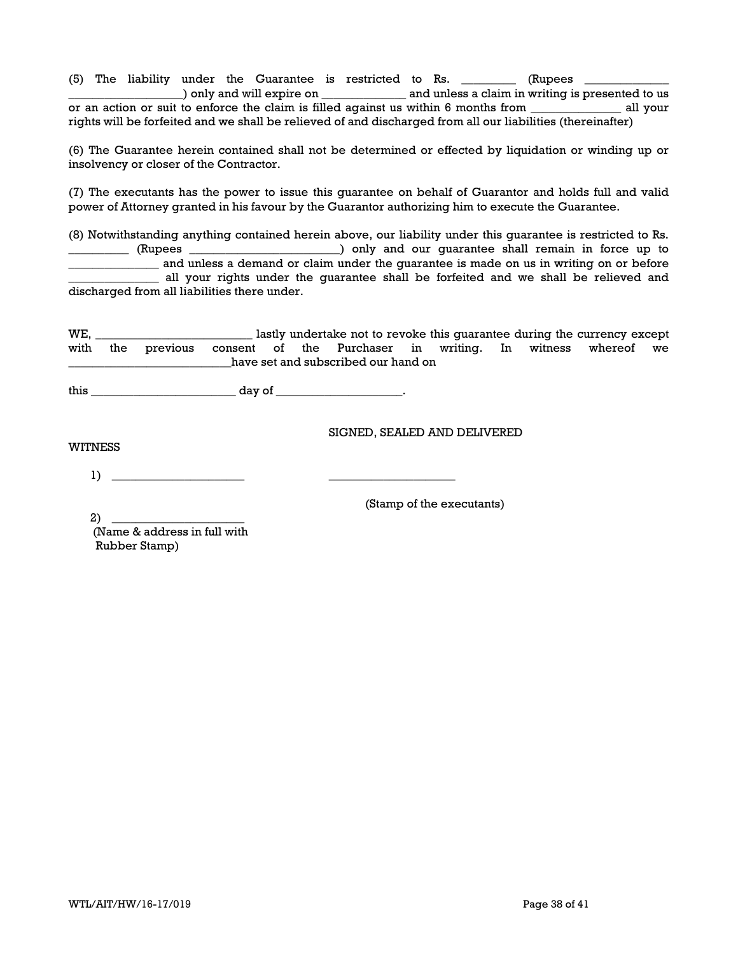(5) The liability under the Guarantee is restricted to Rs.  $\_\_\_\_\_\_\_\_$  (Rupees  $\_\_\_\_\_\_\_\_$ \_\_\_\_\_\_\_\_\_\_\_\_\_\_\_\_\_\_\_) only and will expire on \_\_\_\_\_\_\_\_\_\_\_\_\_\_ and unless a claim in writing is presented to us or an action or suit to enforce the claim is filled against us within 6 months from \_\_\_\_\_\_\_\_\_\_\_\_\_\_\_ all your rights will be forfeited and we shall be relieved of and discharged from all our liabilities (thereinafter)

(6) The Guarantee herein contained shall not be determined or effected by liquidation or winding up or insolvency or closer of the Contractor.

(7) The executants has the power to issue this guarantee on behalf of Guarantor and holds full and valid power of Attorney granted in his favour by the Guarantor authorizing him to execute the Guarantee.

(8) Notwithstanding anything contained herein above, our liability under this guarantee is restricted to Rs. \_\_\_\_\_\_\_\_\_\_ (Rupees \_\_\_\_\_\_\_\_\_\_\_\_\_\_\_\_\_\_\_\_\_\_\_\_\_) only and our guarantee shall remain in force up to \_\_\_\_\_\_\_\_\_\_\_\_\_\_\_ and unless a demand or claim under the guarantee is made on us in writing on or before \_\_\_\_\_\_\_\_\_\_\_\_\_\_\_ all your rights under the guarantee shall be forfeited and we shall be relieved and discharged from all liabilities there under.

WE, \_\_\_\_\_\_\_\_\_\_\_\_\_\_\_\_\_\_\_\_\_\_\_\_\_\_ lastly undertake not to revoke this guarantee during the currency except with the previous consent of the Purchaser in writing. In witness whereof we \_\_\_\_\_\_\_\_\_\_\_\_\_\_\_\_\_\_\_\_\_\_\_\_\_\_\_have set and subscribed our hand on

this \_\_\_\_\_\_\_\_\_\_\_\_\_\_\_\_\_\_\_\_\_\_\_\_ day of \_\_\_\_\_\_\_\_\_\_\_\_\_\_\_\_\_\_\_\_\_.

SIGNED, SEALED AND DELIVERED

WITNESS

1) \_\_\_\_\_\_\_\_\_\_\_\_\_\_\_\_\_\_\_\_\_\_ \_\_\_\_\_\_\_\_\_\_\_\_\_\_\_\_\_\_\_\_\_

(Stamp of the executants)

2) \_\_\_\_\_\_\_\_\_\_\_\_\_\_\_\_\_\_\_\_\_\_ (Name & address in full with Rubber Stamp)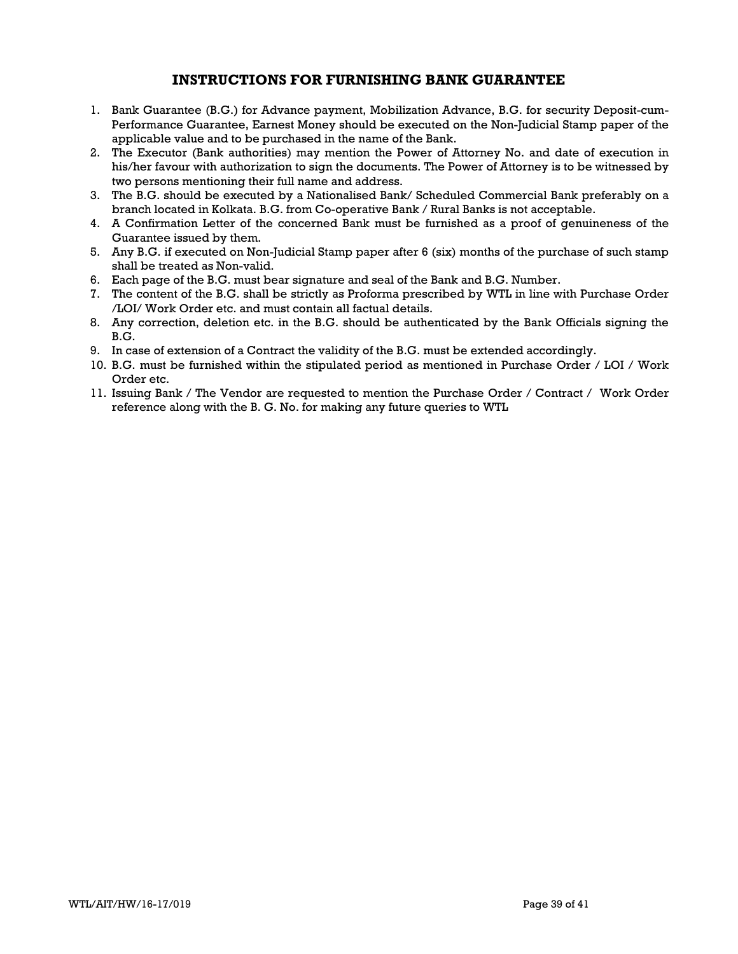## **INSTRUCTIONS FOR FURNISHING BANK GUARANTEE**

- 1. Bank Guarantee (B.G.) for Advance payment, Mobilization Advance, B.G. for security Deposit-cum-Performance Guarantee, Earnest Money should be executed on the Non-Judicial Stamp paper of the applicable value and to be purchased in the name of the Bank.
- 2. The Executor (Bank authorities) may mention the Power of Attorney No. and date of execution in his/her favour with authorization to sign the documents. The Power of Attorney is to be witnessed by two persons mentioning their full name and address.
- 3. The B.G. should be executed by a Nationalised Bank/ Scheduled Commercial Bank preferably on a branch located in Kolkata. B.G. from Co-operative Bank / Rural Banks is not acceptable.
- 4. A Confirmation Letter of the concerned Bank must be furnished as a proof of genuineness of the Guarantee issued by them.
- 5. Any B.G. if executed on Non-Judicial Stamp paper after 6 (six) months of the purchase of such stamp shall be treated as Non-valid.
- 6. Each page of the B.G. must bear signature and seal of the Bank and B.G. Number.
- 7. The content of the B.G. shall be strictly as Proforma prescribed by WTL in line with Purchase Order /LOI/ Work Order etc. and must contain all factual details.
- 8. Any correction, deletion etc. in the B.G. should be authenticated by the Bank Officials signing the B.G.
- 9. In case of extension of a Contract the validity of the B.G. must be extended accordingly.
- 10. B.G. must be furnished within the stipulated period as mentioned in Purchase Order / LOI / Work Order etc.
- 11. Issuing Bank / The Vendor are requested to mention the Purchase Order / Contract / Work Order reference along with the B. G. No. for making any future queries to WTL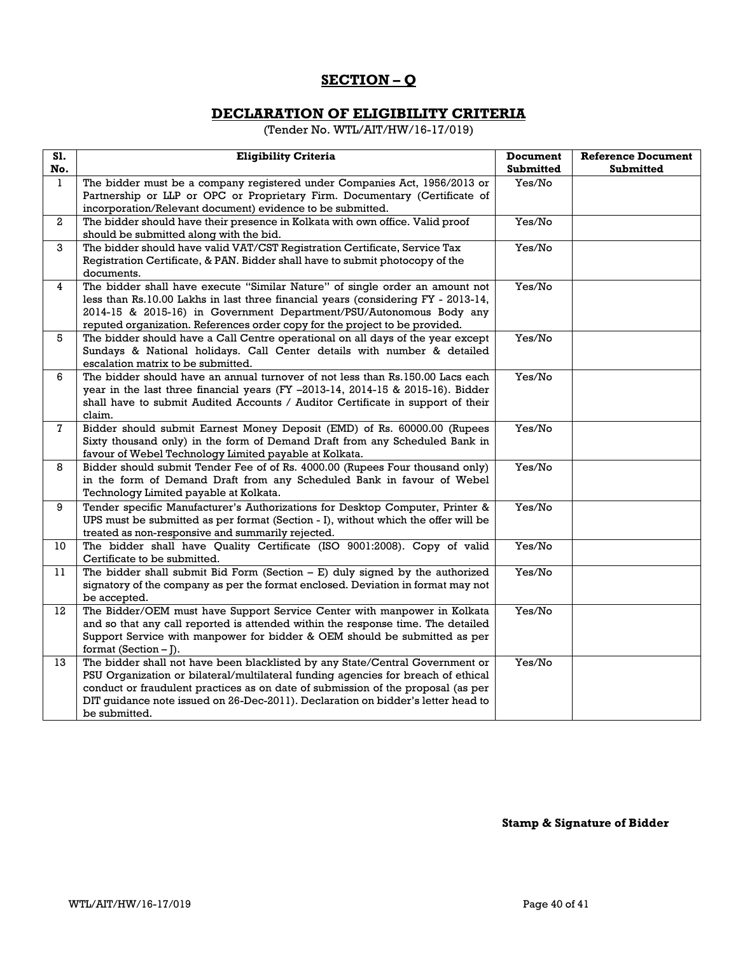# **SECTION – Q**

# **DECLARATION OF ELIGIBILITY CRITERIA**

(Tender No. WTL/AIT/HW/16-17/019)

| S1.<br>No.   | <b>Eligibility Criteria</b>                                                                                                                                                                                                                                                                                                                                 | <b>Document</b><br><b>Submitted</b> | <b>Reference Document</b><br><b>Submitted</b> |
|--------------|-------------------------------------------------------------------------------------------------------------------------------------------------------------------------------------------------------------------------------------------------------------------------------------------------------------------------------------------------------------|-------------------------------------|-----------------------------------------------|
| $\mathbf{1}$ | The bidder must be a company registered under Companies Act, 1956/2013 or<br>Partnership or LLP or OPC or Proprietary Firm. Documentary (Certificate of                                                                                                                                                                                                     | Yes/No                              |                                               |
| $\mathbf{2}$ | incorporation/Relevant document) evidence to be submitted.<br>The bidder should have their presence in Kolkata with own office. Valid proof<br>should be submitted along with the bid.                                                                                                                                                                      | Yes/No                              |                                               |
| 3            | The bidder should have valid VAT/CST Registration Certificate, Service Tax<br>Registration Certificate, & PAN. Bidder shall have to submit photocopy of the<br>documents.                                                                                                                                                                                   | Yes/No                              |                                               |
| 4            | The bidder shall have execute "Similar Nature" of single order an amount not<br>less than Rs.10.00 Lakhs in last three financial years (considering FY - 2013-14,<br>2014-15 & 2015-16) in Government Department/PSU/Autonomous Body any<br>reputed organization. References order copy for the project to be provided.                                     | Yes/No                              |                                               |
| 5            | The bidder should have a Call Centre operational on all days of the year except<br>Sundays & National holidays. Call Center details with number & detailed<br>escalation matrix to be submitted.                                                                                                                                                            | Yes/No                              |                                               |
| 6            | The bidder should have an annual turnover of not less than Rs.150.00 Lacs each<br>year in the last three financial years (FY -2013-14, 2014-15 & 2015-16). Bidder<br>shall have to submit Audited Accounts / Auditor Certificate in support of their<br>claim.                                                                                              | Yes/No                              |                                               |
| $\mathbf{7}$ | Bidder should submit Earnest Money Deposit (EMD) of Rs. 60000.00 (Rupees<br>Sixty thousand only) in the form of Demand Draft from any Scheduled Bank in<br>favour of Webel Technology Limited payable at Kolkata.                                                                                                                                           | Yes/No                              |                                               |
| 8            | Bidder should submit Tender Fee of of Rs. 4000.00 (Rupees Four thousand only)<br>in the form of Demand Draft from any Scheduled Bank in favour of Webel<br>Technology Limited payable at Kolkata.                                                                                                                                                           | Yes/No                              |                                               |
| 9            | Tender specific Manufacturer's Authorizations for Desktop Computer, Printer &<br>UPS must be submitted as per format (Section - I), without which the offer will be<br>treated as non-responsive and summarily rejected.                                                                                                                                    | Yes/No                              |                                               |
| 10           | The bidder shall have Quality Certificate (ISO 9001:2008). Copy of valid<br>Certificate to be submitted.                                                                                                                                                                                                                                                    | Yes/No                              |                                               |
| 11           | The bidder shall submit Bid Form (Section $- E$ ) duly signed by the authorized<br>signatory of the company as per the format enclosed. Deviation in format may not<br>be accepted.                                                                                                                                                                         | Yes/No                              |                                               |
| 12           | The Bidder/OEM must have Support Service Center with manpower in Kolkata<br>and so that any call reported is attended within the response time. The detailed<br>Support Service with manpower for bidder & OEM should be submitted as per<br>format (Section $-$ [).                                                                                        | Yes/No                              |                                               |
| 13           | The bidder shall not have been blacklisted by any State/Central Government or<br>PSU Organization or bilateral/multilateral funding agencies for breach of ethical<br>conduct or fraudulent practices as on date of submission of the proposal (as per<br>DIT guidance note issued on 26-Dec-2011). Declaration on bidder's letter head to<br>be submitted. | Yes/No                              |                                               |

## **Stamp & Signature of Bidder**